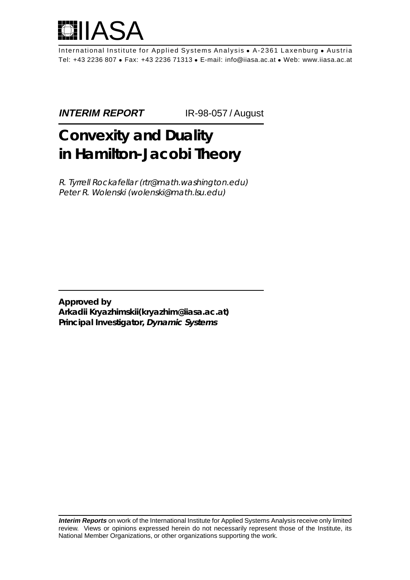

International Institute for Applied Systems Analysis • A-2361 Laxenburg • Austria Tel: +43 2236 807 • Fax: +43 2236 71313 • E-mail: info@iiasa.ac.at • Web: www.iiasa.ac.at

**INTERIM REPORT** IR-98-057 / August

# **Convexity and Duality in Hamilton-Jacobi Theory**

R. Tyrrell Rockafellar (rtr@math.washington.edu) Peter R. Wolenski (wolenski@math.lsu.edu)

**Approved by Arkadii Kryazhimskii(kryazhim@iiasa.ac.at) Principal Investigator, Dynamic Systems**

**Interim Reports** on work of the International Institute for Applied Systems Analysis receive only limited review. Views or opinions expressed herein do not necessarily represent those of the Institute, its National Member Organizations, or other organizations supporting the work.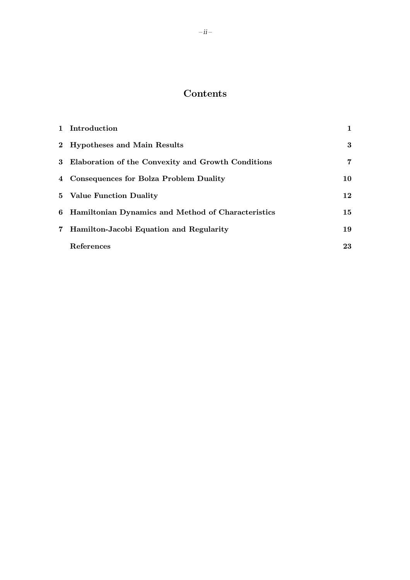## Contents

|             | 1 Introduction                                       |                 |
|-------------|------------------------------------------------------|-----------------|
|             | 2 Hypotheses and Main Results                        | 3               |
|             | 3 Elaboration of the Convexity and Growth Conditions | 7               |
|             | 4 Consequences for Bolza Problem Duality             | 10              |
|             | 5 Value Function Duality                             | 12              |
|             | 6 Hamiltonian Dynamics and Method of Characteristics | 15 <sub>1</sub> |
| $7^{\circ}$ | Hamilton-Jacobi Equation and Regularity              | 19              |
|             | References                                           | 23              |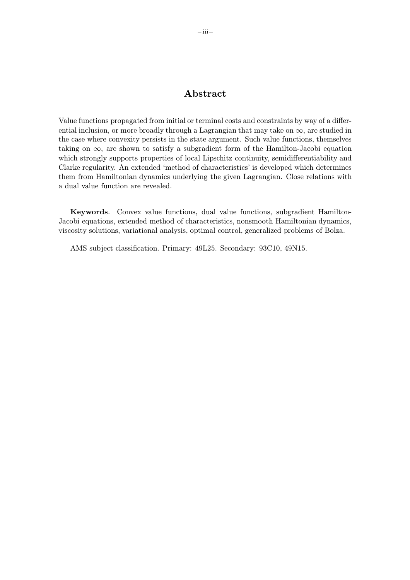### Abstract

Value functions propagated from initial or terminal costs and constraints by way of a differential inclusion, or more broadly through a Lagrangian that may take on  $\infty$ , are studied in the case where convexity persists in the state argument. Such value functions, themselves taking on  $\infty$ , are shown to satisfy a subgradient form of the Hamilton-Jacobi equation which strongly supports properties of local Lipschitz continuity, semidifferentiability and Clarke regularity. An extended 'method of characteristics' is developed which determines them from Hamiltonian dynamics underlying the given Lagrangian. Close relations with a dual value function are revealed.

Keywords. Convex value functions, dual value functions, subgradient Hamilton-Jacobi equations, extended method of characteristics, nonsmooth Hamiltonian dynamics, viscosity solutions, variational analysis, optimal control, generalized problems of Bolza.

AMS subject classification. Primary: 49L25. Secondary: 93C10, 49N15.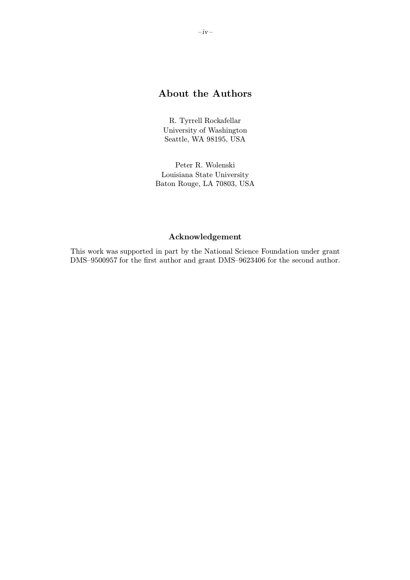### About the Authors

R. Tyrrell Rockafellar University of Washington Seattle, WA 98195, USA

Peter R. Wolenski Louisiana State University Baton Rouge, LA 70803, USA

### Acknowledgement

This work was supported in part by the National Science Foundation under grant DMS–9500957 for the first author and grant DMS–9623406 for the second author.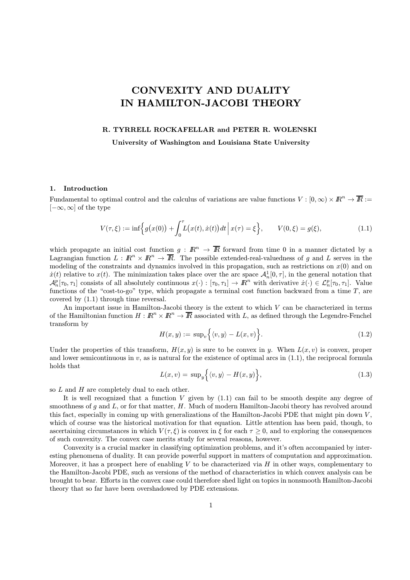# CONVEXITY AND DUALITY IN HAMILTON-JACOBI THEORY

#### R. TYRRELL ROCKAFELLAR and PETER R. WOLENSKI

University of Washington and Louisiana State University

#### 1. Introduction

Fundamental to optimal control and the calculus of variations are value functions  $V : [0, \infty) \times \mathbb{R}^n \to \overline{\mathbb{R}} :=$  $[-\infty, \infty]$  of the type

$$
V(\tau,\xi) := \inf \Big\{ g\big(x(0)\big) + \int_0^{\tau} L\big(x(t), \dot{x}(t)\big) dt \, \Big| \, x(\tau) = \xi \Big\}, \qquad V(0,\xi) = g(\xi), \tag{1.1}
$$

which propagate an initial cost function  $g : \mathbb{R}^n \to \overline{\mathbb{R}}$  forward from time 0 in a manner dictated by a Lagrangian function  $L : \mathbb{R}^n \times \mathbb{R}^n \to \overline{\mathbb{R}}$ . The possible extended-real-valuedness of g and L serves in the modeling of the constraints and dynamics involved in this propagation, such as restrictions on  $x(0)$  and on  $\dot{x}(t)$  relative to  $x(t)$ . The minimization takes place over the arc space  $\mathcal{A}_n^1[0,\tau]$ , in the general notation that  $\mathcal{A}_n^p[\tau_0, \tau_1]$  consists of all absolutely continuous  $x(\cdot) : [\tau_0, \tau_1] \to \mathbb{R}^n$  with derivative  $x(\cdot) \in \mathcal{L}_n^p[\tau_0, \tau_1]$ . Value functions of the "cost-to-go" type, which propagate a terminal cost function backward from a time  $T$ , are covered by (1.1) through time reversal.

An important issue in Hamilton-Jacobi theory is the extent to which V can be characterized in terms of the Hamiltonian function  $H : \mathbb{R}^n \times \mathbb{R}^n \to \overline{\mathbb{R}}$  associated with L, as defined through the Legendre-Fenchel transform by

$$
H(x,y) := \sup\n\big\{\langle v,y\rangle - L(x,v)\big\}.\tag{1.2}
$$

Under the properties of this transform,  $H(x, y)$  is sure to be convex in y. When  $L(x, v)$  is convex, proper and lower semicontinuous in  $v$ , as is natural for the existence of optimal arcs in  $(1.1)$ , the reciprocal formula holds that

$$
L(x,v) = \sup y \Big\{ \langle v, y \rangle - H(x,y) \Big\},\tag{1.3}
$$

so L and H are completely dual to each other.

It is well recognized that a function  $V$  given by  $(1.1)$  can fail to be smooth despite any degree of smoothness of g and  $L$ , or for that matter,  $H$ . Much of modern Hamilton-Jacobi theory has revolved around this fact, especially in coming up with generalizations of the Hamilton-Jacobi PDE that might pin down  $V$ , which of course was the historical motivation for that equation. Little attention has been paid, though, to ascertaining circumstances in which  $V(\tau, \xi)$  is convex in  $\xi$  for each  $\tau \geq 0$ , and to exploring the consequences of such convexity. The convex case merits study for several reasons, however.

Convexity is a crucial marker in classifying optimization problems, and it's often accompanied by interesting phenomena of duality. It can provide powerful support in matters of computation and approximation. Moreover, it has a prospect here of enabling  $V$  to be characterized via  $H$  in other ways, complementary to the Hamilton-Jacobi PDE, such as versions of the method of characteristics in which convex analysis can be brought to bear. Efforts in the convex case could therefore shed light on topics in nonsmooth Hamilton-Jacobi theory that so far have been overshadowed by PDE extensions.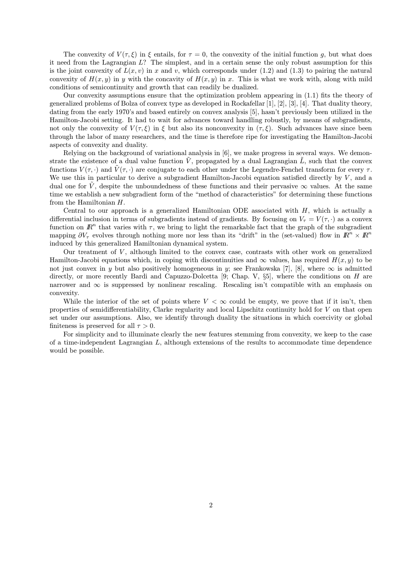The convexity of  $V(\tau,\xi)$  in  $\xi$  entails, for  $\tau=0$ , the convexity of the initial function g, but what does it need from the Lagrangian  $L$ ? The simplest, and in a certain sense the only robust assumption for this is the joint convexity of  $L(x, v)$  in x and v, which corresponds under (1.2) and (1.3) to pairing the natural convexity of  $H(x, y)$  in y with the concavity of  $H(x, y)$  in x. This is what we work with, along with mild conditions of semicontinuity and growth that can readily be dualized.

Our convexity assumptions ensure that the optimization problem appearing in (1.1) fits the theory of generalized problems of Bolza of convex type as developed in Rockafellar [1], [2], [3], [4]. That duality theory, dating from the early 1970's and based entirely on convex analysis [5], hasn't previously been utilized in the Hamilton-Jacobi setting. It had to wait for advances toward handling robustly, by means of subgradients, not only the convexity of  $V(\tau, \xi)$  in  $\xi$  but also its nonconvexity in  $(\tau, \xi)$ . Such advances have since been through the labor of many researchers, and the time is therefore ripe for investigating the Hamilton-Jacobi aspects of convexity and duality.

Relying on the background of variational analysis in [6], we make progress in several ways. We demonstrate the existence of a dual value function  $\tilde{V}$ , propagated by a dual Lagrangian  $\tilde{L}$ , such that the convex functions  $V(\tau, \cdot)$  and  $\tilde{V}(\tau, \cdot)$  are conjugate to each other under the Legendre-Fenchel transform for every  $\tau$ . We use this in particular to derive a subgradient Hamilton-Jacobi equation satisfied directly by  $V$ , and a dual one for  $\tilde{V}$ , despite the unboundedness of these functions and their pervasive  $\infty$  values. At the same time we establish a new subgradient form of the "method of characteristics" for determining these functions from the Hamiltonian H.

Central to our approach is a generalized Hamiltonian ODE associated with  $H$ , which is actually a differential inclusion in terms of subgradients instead of gradients. By focusing on  $V_\tau = V(\tau, \cdot)$  as a convex function on  $\mathbb{R}^n$  that varies with  $\tau$ , we bring to light the remarkable fact that the graph of the subgradient mapping  $\partial V_\tau$  evolves through nothing more nor less than its "drift" in the (set-valued) flow in  $\mathbb{R}^n \times \mathbb{R}^n$ induced by this generalized Hamiltonian dynamical system.

Our treatment of  $V$ , although limited to the convex case, contrasts with other work on generalized Hamilton-Jacobi equations which, in coping with discontinuities and  $\infty$  values, has required  $H(x, y)$  to be not just convex in y but also positively homogeneous in y; see Frankowska [7], [8], where  $\infty$  is admitted directly, or more recently Bardi and Capuzzo-Dolcetta [9; Chap. V,  $\S5$ ], where the conditions on H are narrower and  $\infty$  is suppressed by nonlinear rescaling. Rescaling isn't compatible with an emphasis on convexity.

While the interior of the set of points where  $V < \infty$  could be empty, we prove that if it isn't, then properties of semidifferentiability, Clarke regularity and local Lipschitz continuity hold for V on that open set under our assumptions. Also, we identify through duality the situations in which coercivity or global finiteness is preserved for all  $\tau > 0$ .

For simplicity and to illuminate clearly the new features stemming from convexity, we keep to the case of a time-independent Lagrangian L, although extensions of the results to accommodate time dependence would be possible.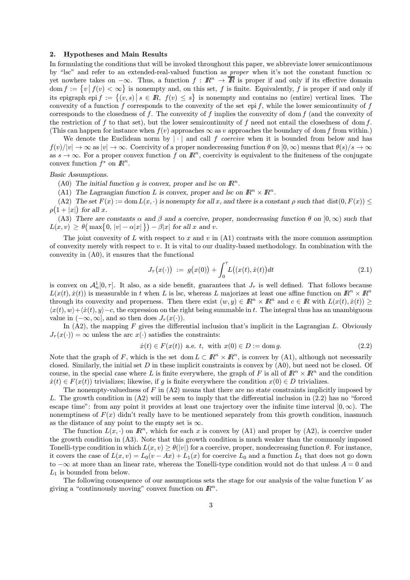#### 2. Hypotheses and Main Results

In formulating the conditions that will be invoked throughout this paper, we abbreviate lower semicontinuous by "lsc" and refer to an extended-real-valued function as *proper* when it's not the constant function  $\infty$ yet nowhere takes on  $-\infty$ . Thus, a function  $f : \mathbb{R}^n \to \overline{\mathbb{R}}$  is proper if and only if its effective domain  $\text{dom } f := \{v \mid f(v) < \infty\}$  is nonempty and, on this set, f is finite. Equivalently, f is proper if and only if its epigraph epi  $f := \{(v, s) | s \in \mathbb{R}, f(v) \leq s\}$  is nonempty and contains no (entire) vertical lines. The convexity of a function f corresponds to the convexity of the set epi f, while the lower semicontinuity of f corresponds to the closedness of  $f$ . The convexity of  $f$  implies the convexity of dom  $f$  (and the convexity of the restriction of f to that set), but the lower semicontinuity of f need not entail the closedness of dom  $f$ . (This can happen for instance when  $f(v)$  approaches  $\infty$  as v approaches the boundary of dom f from within.)

We denote the Euclidean norm by  $|\cdot|$  and call f *coercive* when it is bounded from below and has  $f(v)/|v| \to \infty$  as  $|v| \to \infty$ . Coercivity of a proper nondecreasing function  $\theta$  on  $[0, \infty)$  means that  $\theta(s)/s \to \infty$ as  $s \to \infty$ . For a proper convex function f on  $\mathbb{R}^n$ , coercivity is equivalent to the finiteness of the conjugate convex function  $f^*$  on  $\mathbb{R}^n$ .

#### Basic Assumptions.

(A0) The initial function g is convex, proper and lsc on  $\mathbb{R}^n$ .

(A1) The Lagrangian function L is convex, proper and lsc on  $\mathbb{R}^n \times \mathbb{R}^n$ .

(A2) The set  $F(x) := \text{dom } L(x, \cdot)$  is nonempty for all x, and there is a constant *o* such that dist(0,  $F(x)$ )  $\leq$  $\rho(1+|x|)$  for all x.

(A3) There are constants  $\alpha$  and  $\beta$  and a coercive, proper, nondecreasing function  $\theta$  on  $[0,\infty)$  such that  $L(x, v) \ge \theta \left( \max\{0, |v| - \alpha |x| \} \right) - \beta |x| \text{ for all } x \text{ and } v.$ 

The joint convexity of  $L$  with respect to  $x$  and  $v$  in  $(A1)$  contrasts with the more common assumption of convexity merely with respect to  $v$ . It is vital to our duality-based methodology. In combination with the convexity in (A0), it ensures that the functional

$$
J_{\tau}(x(\cdot)) := g(x(0)) + \int_0^{\tau} L((x(t), \dot{x}(t))dt \qquad (2.1)
$$

is convex on  $\mathcal{A}_n^1[0,\tau]$ . It also, as a side benefit, guarantees that  $J_\tau$  is well defined. That follows because  $L(x(t), \dot{x}(t))$  is measurable in t when L is lsc, whereas L majorizes at least one affine function on  $\mathbb{R}^n \times \mathbb{R}^n$ through its convexity and properness. Then there exist  $(w, y) \in \mathbb{R}^n \times \mathbb{R}^n$  and  $c \in \mathbb{R}$  with  $L(x(t), \dot{x}(t))$  $\langle x(t), w\rangle + \langle \dot{x}(t), y\rangle - c$ , the expression on the right being summable in t. The integral thus has an unambiguous value in  $(-\infty, \infty]$ , and so then does  $J_{\tau}(x(\cdot))$ .

In  $(A2)$ , the mapping F gives the differential inclusion that's implicit in the Lagrangian L. Obviously  $J_{\tau}(x(\cdot)) = \infty$  unless the arc  $x(\cdot)$  satisfies the constraints:

$$
\dot{x}(t) \in F(x(t)) \text{ a.e. } t, \text{ with } x(0) \in D := \text{dom } g. \tag{2.2}
$$

Note that the graph of F, which is the set dom  $L \subset \mathbb{R}^n \times \mathbb{R}^n$ , is convex by (A1), although not necessarily closed. Similarly, the initial set  $D$  in these implicit constraints is convex by  $(A0)$ , but need not be closed. Of course, in the special case where L is finite everywhere, the graph of F is all of  $\mathbb{R}^n \times \mathbb{R}^n$  and the condition  $\dot{x}(t) \in F(x(t))$  trivializes; likewise, if q is finite everywhere the condition  $x(0) \in D$  trivializes.

The nonempty-valuedness of F in  $(A2)$  means that there are no state constraints implicitly imposed by L. The growth condition in (A2) will be seen to imply that the differential inclusion in (2.2) has no "forced escape time": from any point it provides at least one trajectory over the infinite time interval  $[0, \infty)$ . The nonemptiness of  $F(x)$  didn't really have to be mentioned separately from this growth condition, inasmuch as the distance of any point to the empty set is  $\infty$ .

The function  $L(x, \cdot)$  on  $\mathbb{R}^n$ , which for each x is convex by (A1) and proper by (A2), is coercive under the growth condition in (A3). Note that this growth condition is much weaker than the commonly imposed Tonelli-type condition in which  $L(x, v) \geq \theta(|v|)$  for a coercive, proper, nondecreasing function  $\theta$ . For instance, it covers the case of  $L(x, v) = L_0(v - Ax) + L_1(x)$  for coercive  $L_0$  and a function  $L_1$  that does not go down to  $-\infty$  at more than an linear rate, whereas the Tonelli-type condition would not do that unless  $A = 0$  and  $L_1$  is bounded from below.

The following consequence of our assumptions sets the stage for our analysis of the value function  $V$  as giving a "continuously moving" convex function on  $\mathbb{R}^n$ .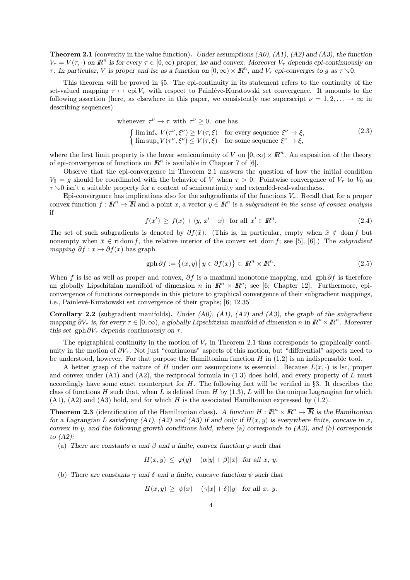**Theorem 2.1** (convexity in the value function). Under assumptions  $(A0)$ ,  $(A1)$ ,  $(A2)$  and  $(A3)$ , the function  $V_{\tau} = V(\tau, \cdot)$  on  $\mathbb{R}^n$  is for every  $\tau \in [0, \infty)$  proper, lsc and convex. Moreover  $V_{\tau}$  depends epi-continuously on τ. In particular, V is proper and lsc as a function on  $[0, \infty) \times \mathbb{R}^n$ , and  $V_\tau$  epi-converges to g as  $\tau \searrow 0$ .

This theorem will be proved in  $\S5$ . The epi-continuity in its statement refers to the continuity of the set-valued mapping  $\tau \mapsto epi V_\tau$  with respect to Painléve-Kuratowski set convergence. It amounts to the following assertion (here, as elsewhere in this paper, we consistently use superscript  $\nu = 1, 2, \ldots \rightarrow \infty$  in describing sequences):

whenever  $\tau^{\nu} \to \tau$  with  $\tau^{\nu} \ge 0$ , one has

 $\int \liminf_{\nu} V(\tau^{\nu}, \xi^{\nu}) \ge V(\tau, \xi)$  for every sequence  $\xi^{\nu} \to \xi$ ,  $\limsup_{\nu}V(\tau^{\nu}, \xi^{\nu}) \leq V(\tau, \xi)$  for some sequence  $\xi^{\nu} \to \xi$ , (2.3)

where the first limit property is the lower semicontinuity of V on  $[0, \infty) \times \mathbb{R}^n$ . An exposition of the theory of epi-convergence of functions on  $\mathbb{R}^n$  is available in Chapter 7 of [6].

Observe that the epi-convergence in Theorem 2.1 answers the question of how the initial condition  $V_0 = q$  should be coordinated with the behavior of V when  $\tau > 0$ . Pointwise convergence of  $V_\tau$  to  $V_0$  as  $\tau > 0$  isn't a suitable property for a context of semicontinuity and extended-real-valuedness.

Epi-convergence has implications also for the subgradients of the functions  $V_{\tau}$ . Recall that for a proper convex function  $f: \mathbb{R}^n \to \overline{\mathbb{R}}$  and a point x, a vector  $y \in \mathbb{R}^n$  is a subgradient in the sense of convex analysis if

$$
f(x') \ge f(x) + \langle y, x' - x \rangle \quad \text{for all } x' \in \mathbb{R}^n. \tag{2.4}
$$

The set of such subgradients is denoted by  $\partial f(\bar{x})$ . (This is, in particular, empty when  $\bar{x} \notin \text{dom } f$  but nonempty when  $\bar{x} \in \text{ri dom } f$ , the relative interior of the convex set dom f; see [5], [6].) The subgradient *mapping*  $\partial f : x \mapsto \partial f(x)$  has graph

$$
\text{gph}\,\partial f := \{(x, y) \, \big| \, y \in \partial f(x)\} \subset \mathbb{R}^n \times \mathbb{R}^n. \tag{2.5}
$$

When f is lsc as well as proper and convex,  $\partial f$  is a maximal monotone mapping, and gph $\partial f$  is therefore an globally Lipschitzian manifold of dimension n in  $\mathbb{R}^n \times \mathbb{R}^n$ ; see [6; Chapter 12]. Furthermore, epiconvergence of functions corresponds in this picture to graphical convergence of their subgradient mappings, i.e., Painlevé-Kuratowski set convergence of their graphs; [6; 12.35].

**Corollary 2.2** (subgradient manifolds). Under  $(A0)$ ,  $(A1)$ ,  $(A2)$  and  $(A3)$ , the graph of the subgradient mapping  $\partial V_\tau$  is, for every  $\tau \in [0,\infty)$ , a globally Lipschitzian manifold of dimension n in  $\mathbb{R}^n \times \mathbb{R}^n$ . Moreover this set gph  $\partial V_{\tau}$  depends continuously on  $\tau$ .

The epigraphical continuity in the motion of  $V_{\tau}$  in Theorem 2.1 thus corresponds to graphically continuity in the motion of  $\partial V_\tau$ . Not just "continuous" aspects of this motion, but "differential" aspects need to be understood, however. For that purpose the Hamiltonian function  $H$  in  $(1.2)$  is an indispensable tool.

A better grasp of the nature of H under our assumptions is essential. Because  $L(x, \cdot)$  is lsc, proper and convex under  $(A1)$  and  $(A2)$ , the reciprocal formula in  $(1.3)$  does hold, and every property of L must accordingly have some exact counterpart for  $H$ . The following fact will be verified in §3. It describes the class of functions H such that, when L is defined from H by  $(1.3)$ , L will be the unique Lagrangian for which  $(A1)$ ,  $(A2)$  and  $(A3)$  hold, and for which H is the associated Hamiltonian expressed by  $(1.2)$ .

**Theorem 2.3** (identification of the Hamiltonian class). A function  $H : \mathbb{R}^n \times \mathbb{R}^n \to \overline{\mathbb{R}}$  is the Hamiltonian for a Lagrangian L satisfying (A1), (A2) and (A3) if and only if  $H(x, y)$  is everywhere finite, concave in x, convex in y, and the following growth conditions hold, where (a) corresponds to  $(A3)$ , and  $(b)$  corresponds to (A2):

(a) There are constants  $\alpha$  and  $\beta$  and a finite, convex function  $\varphi$  such that

$$
H(x, y) \le \varphi(y) + (\alpha|y| + \beta)|x| \quad \text{for all } x, y.
$$

(b) There are constants  $\gamma$  and  $\delta$  and a finite, concave function  $\psi$  such that

$$
H(x,y) \ge \psi(x) - (\gamma|x| + \delta)|y| \text{ for all } x, y.
$$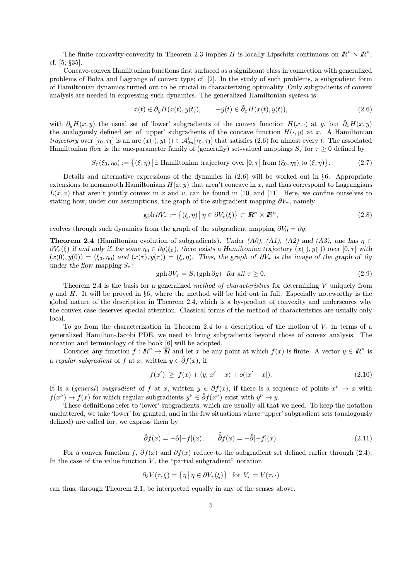The finite concavity-convexity in Theorem 2.3 implies H is locally Lipschitz continuous on  $\mathbb{R}^n \times \mathbb{R}^n$ ; cf. [5; §35].

Concave-convex Hamiltonian functions first surfaced as a significant class in connection with generalized problems of Bolza and Lagrange of convex type; cf. [2]. In the study of such problems, a subgradient form of Hamiltonian dynamics turned out to be crucial in characterizing optimality. Only subgradients of convex analysis are needed in expressing such dynamics. The generalized Hamiltonian system is

$$
\dot{x}(t) \in \partial_y H(x(t), y(t)), \qquad -\dot{y}(t) \in \tilde{\partial}_x H(x(t), y(t)), \tag{2.6}
$$

with  $\partial_y H(x, y)$  the usual set of 'lower' subgradients of the convex function  $H(x, \cdot)$  at y, but  $\tilde{\partial}_x H(x, y)$ the analogously defined set of 'upper' subgradients of the concave function  $H(\cdot, y)$  at x. A Hamiltonian trajectory over  $[\tau_0, \tau_1]$  is an arc  $(x(\cdot), y(\cdot)) \in \mathcal{A}_{2n}^1[\tau_0, \tau_1]$  that satisfies  $(2.6)$  for almost every t. The associated Hamiltonian flow is the one-parameter family of (generally) set-valued mappings  $S_{\tau}$  for  $\tau > 0$  defined by

$$
S_{\tau}(\xi_0, \eta_0) := \{ (\xi, \eta) \mid \exists \text{ Hamiltonian trajectory over } [0, \tau] \text{ from } (\xi_0, \eta_0) \text{ to } (\xi, \eta) \}. \tag{2.7}
$$

Details and alternative expressions of the dynamics in (2.6) will be worked out in §6. Appropriate extensions to nonsmooth Hamiltonians  $H(x, y)$  that aren't concave in x, and thus correspond to Lagrangians  $L(x, v)$  that aren't jointly convex in x and v, can be found in [10] and [11]. Here, we confine ourselves to stating how, under our assumptions, the graph of the subgradient mapping  $\partial V_{\tau}$ , namely

$$
\text{gph}\,\partial V_{\tau} := \left\{ (\xi,\eta) \, \middle| \, \eta \in \partial V_{\tau}(\xi) \right\} \subset I\!\!R^n \times I\!\!R^n,\tag{2.8}
$$

evolves through such dynamics from the graph of the subgradient mapping  $\partial V_0 = \partial g$ .

**Theorem 2.4** (Hamiltonian evolution of subgradients). Under (A0), (A1), (A2) and (A3), one has  $\eta \in$  $\partial V_{\tau}(\xi)$  if and only if, for some  $\eta_0 \in \partial g(\xi_0)$ , there exists a Hamiltonian trajectory  $(x(\cdot), y(\cdot))$  over  $[0, \tau]$  with  $(x(0), y(0)) = (\xi_0, \eta_0)$  and  $(x(\tau), y(\tau)) = (\xi, \eta)$ . Thus, the graph of  $\partial V_\tau$  is the image of the graph of  $\partial g$ under the flow mapping  $S_{\tau}$ :

$$
\text{gph}\,\partial V_{\tau} = S_{\tau}(\text{gph}\,\partial g) \quad \text{for all } \tau \ge 0. \tag{2.9}
$$

Theorem 2.4 is the basis for a generalized method of characteristics for determining  $V$  uniquely from q and H. It will be proved in §6, where the method will be laid out in full. Especially noteworthy is the global nature of the description in Theorem 2.4, which is a by-product of convexity and underscores why the convex case deserves special attention. Classical forms of the method of characteristics are usually only local.

To go from the characterization in Theorem 2.4 to a description of the motion of  $V<sub>\tau</sub>$  in terms of a generalized Hamilton-Jacobi PDE, we need to bring subgradients beyond those of convex analysis. The notation and terminology of the book [6] will be adopted.

Consider any function  $f : \mathbb{R}^n \to \mathbb{R}$  and let x be any point at which  $f(x)$  is finite. A vector  $y \in \mathbb{R}^n$  is a regular subgradient of f at x, written  $y \in \hat{\partial} f(x)$ , if

$$
f(x') \ge f(x) + \langle y, x' - x \rangle + o(|x' - x|). \tag{2.10}
$$

It is a (general) subgradient of f at x, written  $y \in \partial f(x)$ , if there is a sequence of points  $x^{\nu} \to x$  with  $f(x^{\nu}) \to f(x)$  for which regular subgradients  $y^{\nu} \in \hat{\partial} f(x^{\nu})$  exist with  $y^{\nu} \to y$ .

These definitions refer to 'lower' subgradients, which are usually all that we need. To keep the notation uncluttered, we take 'lower' for granted, and in the few situations where 'upper' subgradient sets (analogously defined) are called for, we express them by

$$
\tilde{\partial}f(x) = -\partial[-f](x), \qquad \tilde{\partial}f(x) = -\hat{\partial}[-f](x). \tag{2.11}
$$

For a convex function f,  $\hat{\partial}f(x)$  and  $\partial f(x)$  reduce to the subgradient set defined earlier through (2.4). In the case of the value function  $V$ , the "partial subgradient" notation

$$
\partial_{\xi} V(\tau,\xi) = \left\{ \eta \, \middle| \, \eta \in \partial V_{\tau}(\xi) \right\} \; \; \text{for} \; \, V_{\tau} = V(\tau,\cdot)
$$

can thus, through Theorem 2.1, be interpreted equally in any of the senses above.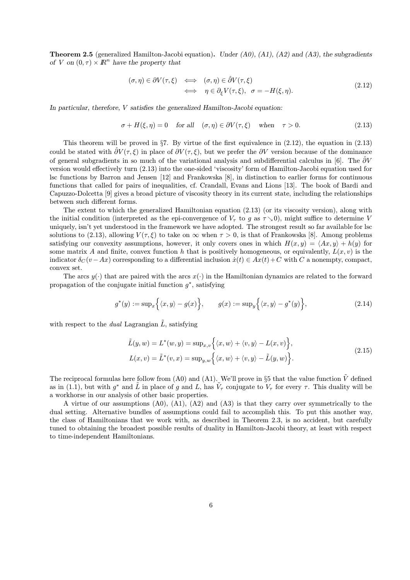**Theorem 2.5** (generalized Hamilton-Jacobi equation). Under  $(A0)$ ,  $(A1)$ ,  $(A2)$  and  $(A3)$ , the subgradients of V on  $(0, \tau) \times \mathbb{R}^n$  have the property that

$$
(\sigma, \eta) \in \partial V(\tau, \xi) \iff (\sigma, \eta) \in \hat{\partial} V(\tau, \xi) \n\iff \eta \in \partial_{\xi} V(\tau, \xi), \quad \sigma = -H(\xi, \eta).
$$
\n(2.12)

In particular, therefore, V satisfies the generalized Hamilton-Jacobi equation:

$$
\sigma + H(\xi, \eta) = 0 \quad \text{for all} \quad (\sigma, \eta) \in \partial V(\tau, \xi) \quad \text{when} \quad \tau > 0. \tag{2.13}
$$

This theorem will be proved in §7. By virtue of the first equivalence in  $(2.12)$ , the equation in  $(2.13)$ could be stated with  $\partial V(\tau, \xi)$  in place of  $\partial V(\tau, \xi)$ , but we prefer the  $\partial V$  version because of the dominance of general subgradients in so much of the variational analysis and subdifferential calculus in [6]. The  $\partial V$ version would effectively turn (2.13) into the one-sided 'viscosity' form of Hamilton-Jacobi equation used for lsc functions by Barron and Jensen [12] and Frankowska [8], in distinction to earlier forms for continuous functions that called for pairs of inequalities, cf. Crandall, Evans and Lions [13]. The book of Bardi and Capuzzo-Dolcetta [9] gives a broad picture of viscosity theory in its current state, including the relationships between such different forms.

The extent to which the generalized Hamiltonian equation (2.13) (or its viscosity version), along with the initial condition (interpreted as the epi-convergence of  $V_{\tau}$  to q as  $\tau \searrow 0$ ), might suffice to determine V uniquely, isn't yet understood in the framework we have adopted. The strongest result so far available for lsc solutions to (2.13), allowing  $V(\tau, \xi)$  to take on  $\infty$  when  $\tau > 0$ , is that of Frankowska [8]. Among problems satisfying our convexity assumptions, however, it only covers ones in which  $H(x, y) = \langle Ax, y \rangle + h(y)$  for some matrix A and finite, convex function h that is positively homogeneous, or equivalently,  $L(x, v)$  is the indicator  $\delta_C (v - Ax)$  corresponding to a differential inclusion  $\dot{x}(t) \in Ax(t) + C$  with C a nonempty, compact, convex set.

The arcs  $y(\cdot)$  that are paired with the arcs  $x(\cdot)$  in the Hamiltonian dynamics are related to the forward propagation of the conjugate initial function  $g^*$ , satisfying

$$
g^*(y) := \sup_x \Big\{ \langle x, y \rangle - g(x) \Big\}, \qquad g(x) := \sup_y \Big\{ \langle x, y \rangle - g^*(y) \Big\},\tag{2.14}
$$

with respect to the *dual* Lagrangian  $\tilde{L}$ , satisfying

$$
\tilde{L}(y, w) = L^*(w, y) = \sup_{x, v} \left\{ \langle x, w \rangle + \langle v, y \rangle - L(x, v) \right\},
$$
\n
$$
L(x, v) = \tilde{L}^*(v, x) = \sup_{y, w} \left\{ \langle x, w \rangle + \langle v, y \rangle - \tilde{L}(y, w) \right\}.
$$
\n(2.15)

The reciprocal formulas here follow from (A0) and (A1). We'll prove in §5 that the value function  $\tilde{V}$  defined as in (1.1), but with  $g^*$  and  $\tilde{L}$  in place of g and L, has  $\tilde{V}_\tau$  conjugate to  $V_\tau$  for every  $\tau$ . This duality will be a workhorse in our analysis of other basic properties.

A virtue of our assumptions (A0), (A1), (A2) and (A3) is that they carry over symmetrically to the dual setting. Alternative bundles of assumptions could fail to accomplish this. To put this another way, the class of Hamiltonians that we work with, as described in Theorem 2.3, is no accident, but carefully tuned to obtaining the broadest possible results of duality in Hamilton-Jacobi theory, at least with respect to time-independent Hamiltonians.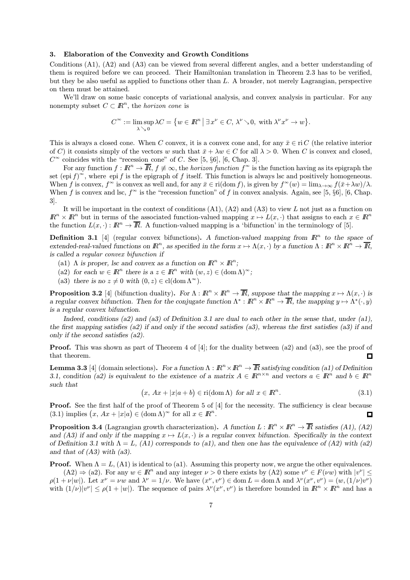#### 3. Elaboration of the Convexity and Growth Conditions

Conditions (A1), (A2) and (A3) can be viewed from several different angles, and a better understanding of them is required before we can proceed. Their Hamiltonian translation in Theorem 2.3 has to be verified, but they be also useful as applied to functions other than L. A broader, not merely Lagrangian, perspective on them must be attained.

We'll draw on some basic concepts of variational analysis, and convex analysis in particular. For any nonempty subset  $C \subset \mathbb{R}^n$ , the *horizon cone* is

$$
C^{\infty} := \limsup_{\lambda \searrow 0} \lambda C = \{ w \in \mathbb{R}^n \mid \exists x^{\nu} \in C, \, \lambda^{\nu} \searrow 0, \text{ with } \lambda^{\nu} x^{\nu} \to w \}.
$$

This is always a closed cone. When C convex, it is a convex cone and, for any  $\bar{x} \in \text{ri } C$  (the relative interior of C) it consists simply of the vectors w such that  $\bar{x} + \lambda w \in C$  for all  $\lambda > 0$ . When C is convex and closed,  $C^{\infty}$  coincides with the "recession cone" of C. See [5, §6], [6, Chap. 3].

For any function  $f : \mathbb{R}^n \to \overline{\mathbb{R}}$ ,  $f \neq \infty$ , the *horizon function*  $f^{\infty}$  is the function having as its epigraph the set  $(\text{epi } f)^\infty$ , where  $\text{epi } f$  is the epigraph of f itself. This function is always lsc and positively homogeneous. When f is convex,  $f^{\infty}$  is convex as well and, for any  $\bar{x} \in \text{ri}(\text{dom } f)$ , is given by  $f^{\infty}(w) = \lim_{\lambda \to \infty} f(\bar{x} + \lambda w)/\lambda$ . When f is convex and lsc,  $f^{\infty}$  is the "recession function" of f in convex analysis. Again, see [5, §6], [6, Chap. 3].

It will be important in the context of conditions  $(A1)$ ,  $(A2)$  and  $(A3)$  to view L not just as a function on  $\mathbb{R}^n \times \mathbb{R}^n$  but in terms of the associated function-valued mapping  $x \mapsto L(x, \cdot)$  that assigns to each  $x \in \mathbb{R}^n$ the function  $L(x, \cdot): \mathbb{R}^n \to \overline{\mathbb{R}}$ . A function-valued mapping is a 'bifunction' in the terminology of [5].

**Definition 3.1** [4] (regular convex bifunctions). A function-valued mapping from  $\mathbb{R}^n$  to the space of extended-real-valued functions on  $\mathbb{R}^n$ , as specified in the form  $x \mapsto \Lambda(x, \cdot)$  by a function  $\Lambda : \mathbb{R}^n \times \mathbb{R}^n \to \overline{\mathbb{R}}$ , is called a regular convex bifunction if

- (a1)  $\Lambda$  is proper, lsc and convex as a function on  $\mathbb{R}^n \times \mathbb{R}^n$ ;
- (a2) for each  $w \in \mathbb{R}^n$  there is  $a z \in \mathbb{R}^n$  with  $(w, z) \in (\text{dom }\Lambda)^\infty$ ;
- (a3) there is no  $z \neq 0$  with  $(0, z) \in \text{cl}(\text{dom }\Lambda^{\infty})$ .

**Proposition 3.2** [4] (bifunction duality). For  $\Lambda : \mathbb{R}^n \times \mathbb{R}^n \to \overline{\mathbb{R}}$ , suppose that the mapping  $x \mapsto \Lambda(x, \cdot)$  is a regular convex bifunction. Then for the conjugate function  $\Lambda^*: \mathbb{R}^n \times \mathbb{R}^n \to \overline{\mathbb{R}}$ , the mapping  $y \mapsto \Lambda^*(\cdot, y)$ is a regular convex bifunction.

Indeed, conditions (a2) and (a3) of Definition 3.1 are dual to each other in the sense that, under (a1), the first mapping satisfies (a2) if and only if the second satisfies (a3), whereas the first satisfies (a3) if and only if the second satisfies (a2).

**Proof.** This was shown as part of Theorem 4 of [4]; for the duality between (a2) and (a3), see the proof of that theorem.  $\Box$ 

**Lemma 3.3** [4] (domain selections). For a function  $\Lambda : \mathbb{R}^n \times \mathbb{R}^n \to \overline{\mathbb{R}}$  satisfying condition (a1) of Definition 3.1, condition (a2) is equivalent to the existence of a matrix  $A \in \mathbb{R}^{n \times n}$  and vectors  $a \in \mathbb{R}^n$  and  $b \in \mathbb{R}^n$ such that

$$
(x, Ax + |x|a + b) \in \text{ri}(\text{dom }\Lambda) \text{ for all } x \in \mathbb{R}^n. \tag{3.1}
$$

Proof. See the first half of the proof of Theorem 5 of [4] for the necessity. The sufficiency is clear because (3.1) implies  $(x, Ax + |x|a) \in (\text{dom }\Lambda)^\infty$  for all  $x \in \mathbb{R}^n$ . O

**Proposition 3.4** (Lagrangian growth characterization). A function  $L : \mathbb{R}^n \times \mathbb{R}^n \to \overline{\mathbb{R}}$  satisfies (A1), (A2) and (A3) if and only if the mapping  $x \mapsto L(x, \cdot)$  is a regular convex bifunction. Specifically in the context of Definition 3.1 with  $\Lambda = L$ , (A1) corresponds to (a1), and then one has the equivalence of (A2) with (a2) and that of  $(A3)$  with  $(a3)$ .

**Proof.** When  $\Lambda = L$ , (A1) is identical to (a1). Assuming this property now, we argue the other equivalences.  $(A2) \Rightarrow (a2)$ . For any  $w \in \mathbb{R}^n$  and any integer  $\nu > 0$  there exists by  $(A2)$  some  $v^{\nu} \in F(\nu w)$  with  $|v^{\nu}| \leq$  $\rho(1 + \nu |w|)$ . Let  $x^{\nu} = \nu w$  and  $\lambda^{\nu} = 1/\nu$ . We have  $(x^{\nu}, v^{\nu}) \in \text{dom } L = \text{dom }\Lambda$  and  $\lambda^{\nu}(x^{\nu}, v^{\nu}) = (w, (1/\nu)v^{\nu})$ 

with  $(1/\nu)|v''| \le \rho(1+|w|)$ . The sequence of pairs  $\lambda^{\nu}(x^{\nu}, v^{\nu})$  is therefore bounded in  $\mathbb{R}^n \times \mathbb{R}^n$  and has a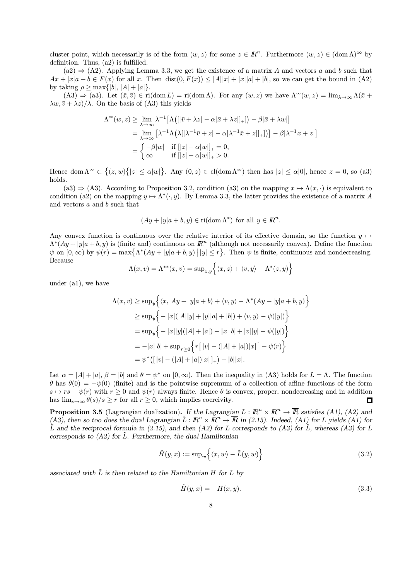cluster point, which necessarily is of the form  $(w, z)$  for some  $z \in \mathbb{R}^n$ . Furthermore  $(w, z) \in (\text{dom }\Lambda)^\infty$  by definition. Thus, (a2) is fulfilled.

 $(a2) \Rightarrow (A2)$ . Applying Lemma 3.3, we get the existence of a matrix A and vectors a and b such that  $Ax + |x|a + b \in F(x)$  for all x. Then  $dist(0, F(x)) \leq |A||x| + |x||a| + |b|$ , so we can get the bound in (A2) by taking  $\rho > \max\{|b|, |A| + |a|\}.$ 

 $(A3) \Rightarrow (a3)$ . Let  $(\bar{x}, \bar{v}) \in \text{ri}(\text{dom } L) = \text{ri}(\text{dom } \Lambda)$ . For any  $(w, z)$  we have  $\Lambda^{\infty}(w, z) = \lim_{\lambda \to \infty} \Lambda(\bar{x} + \lambda)$  $\lambda w, \bar{v} + \lambda z$ / $\lambda$ . On the basis of (A3) this yields

$$
\Lambda^{\infty}(w, z) \ge \lim_{\lambda \to \infty} \lambda^{-1} \left[ \Lambda \left( [|\bar{v} + \lambda z| - \alpha |\bar{x} + \lambda z|]_+ | \right) - \beta |\bar{x} + \lambda w| \right]
$$
  
\n
$$
= \lim_{\lambda \to \infty} \left[ \lambda^{-1} \Lambda \left( \lambda [|\lambda^{-1} \bar{v} + z| - \alpha |\lambda^{-1} \bar{x} + z|]_+ | \right) \right] - \beta |\lambda^{-1} x + z| \right]
$$
  
\n
$$
= \begin{cases} -\beta |w| & \text{if } ||z| - \alpha |w| \vert_+ = 0, \\ \infty & \text{if } ||z| - \alpha |w| \vert_+ > 0. \end{cases}
$$

Hence dom  $\Lambda^{\infty} \subset \{(z,w)\{|z| \le \alpha |w|\}$ . Any  $(0, z) \in cl(\text{dom }\Lambda^{\infty})$  then has  $|z| \le \alpha |0|$ , hence  $z = 0$ , so (a3) holds.

(a3)  $\Rightarrow$  (A3). According to Proposition 3.2, condition (a3) on the mapping  $x \mapsto \Lambda(x, \cdot)$  is equivalent to condition (a2) on the mapping  $y \mapsto \Lambda^*(\cdot, y)$ . By Lemma 3.3, the latter provides the existence of a matrix A and vectors a and b such that

$$
(Ay + |y|a + b, y) \in \text{ri}(\text{dom }\Lambda^*)
$$
 for all  $y \in \mathbb{R}^n$ .

Any convex function is continuous over the relative interior of its effective domain, so the function  $y \mapsto$  $\Lambda^*(Ay + |y|a + b, y)$  is (finite and) continuous on  $\mathbb{R}^n$  (although not necessarily convex). Define the function  $\psi$  on  $[0,\infty)$  by  $\psi(r) = \max\{\Lambda^*(Ay + |y|a + b, y) \mid |y| \le r\}$ . Then  $\psi$  is finite, continuous and nondecreasing. Because

$$
\Lambda(x,v) = \Lambda^{**}(x,v) = \sup_{z,y} \left\{ \langle x,z \rangle + \langle v,y \rangle - \Lambda^*(z,y) \right\}
$$

under (a1), we have

$$
\Lambda(x, v) \ge \sup_y \Big\{ \langle x, Ay + |y|a + b \rangle + \langle v, y \rangle - \Lambda^*(Ay + |y|a + b, y) \Big\}
$$
  
\n
$$
\ge \sup_y \Big\{ -|x|(|A||y| + |y||a| + |b|) + \langle v, y \rangle - \psi(|y|) \Big\}
$$
  
\n
$$
= \sup_y \Big\{ -|x||y|(|A| + |a|) - |x||b| + |v||y| - \psi(|y|) \Big\}
$$
  
\n
$$
= -|x||b| + \sup_{r \ge 0} \Big\{ r[|v| - (|A| + |a|)|x|] - \psi(r) \Big\}
$$
  
\n
$$
= \psi^* \big( [|v| - (|A| + |a|)|x|]_+ \big) - |b||x|.
$$

Let  $\alpha = |A| + |a|$ ,  $\beta = |b|$  and  $\theta = \psi^*$  on  $[0, \infty)$ . Then the inequality in (A3) holds for  $L = \Lambda$ . The function θ has θ(0) = −ψ(0) (finite) and is the pointwise supremum of a collection of affine functions of the form  $s \mapsto rs - \psi(r)$  with  $r \ge 0$  and  $\psi(r)$  always finite. Hence  $\theta$  is convex, proper, nondecreasing and in addition has  $\lim_{s\to\infty} \theta(s)/s \geq r$  for all  $r \geq 0$ , which implies coercivity.  $\Box$ 

**Proposition 3.5** (Lagrangian dualization). If the Lagrangian  $L : \mathbb{R}^n \times \mathbb{R}^n \to \overline{\mathbb{R}}$  satisfies (A1), (A2) and (A3), then so too does the dual Lagrangian  $\tilde{L}: \mathbb{R}^n \times \mathbb{R}^n \to \overline{\mathbb{R}}$  in (2.15). Indeed, (A1) for L yields (A1) for  $\tilde{L}$  and the reciprocal formula in (2.15), and then (A2) for L corresponds to (A3) for  $\tilde{L}$ , whereas (A3) for L corresponds to  $(A2)$  for  $\tilde{L}$ . Furthermore, the dual Hamiltonian

$$
\tilde{H}(y,x) := \sup\n\left\{ \langle x, w \rangle - \tilde{L}(y, w) \right\} \tag{3.2}
$$

associated with  $\tilde{L}$  is then related to the Hamiltonian H for L by

$$
\tilde{H}(y,x) = -H(x,y). \tag{3.3}
$$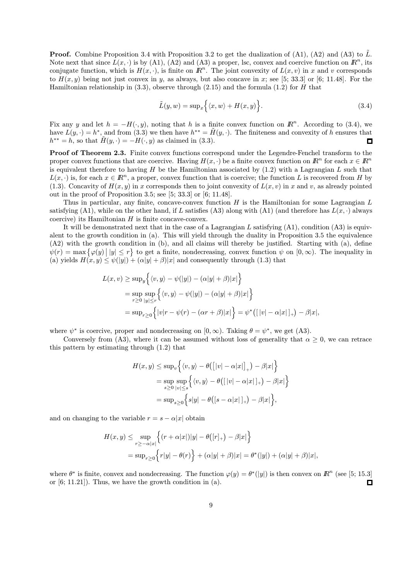**Proof.** Combine Proposition 3.4 with Proposition 3.2 to get the dualization of (A1), (A2) and (A3) to  $\tilde{L}$ . Note next that since  $L(x, \cdot)$  is by (A1), (A2) and (A3) a proper, lsc, convex and coercive function on  $\mathbb{R}^n$ , its conjugate function, which is  $H(x, \cdot)$ , is finite on  $\mathbb{R}^n$ . The joint convexity of  $L(x, v)$  in x and v corresponds to  $H(x, y)$  being not just convex in y, as always, but also concave in x; see [5; 33.3] or [6; 11.48]. For the Hamiltonian relationship in  $(3.3)$ , observe through  $(2.15)$  and the formula  $(1.2)$  for H that

$$
\tilde{L}(y, w) = \sup_x \Big\{ \langle x, w \rangle + H(x, y) \Big\}.
$$
\n(3.4)

Fix any y and let  $h = -H(\cdot, y)$ , noting that h is a finite convex function on  $\mathbb{R}^n$ . According to (3.4), we have  $L(y, \cdot) = h^*$ , and from (3.3) we then have  $h^{**} = \tilde{H}(y, \cdot)$ . The finiteness and convexity of h ensures that  $h^{**} = h$ , so that  $H(y, \cdot) = -H(\cdot, y)$  as claimed in (3.3).  $\Box$ 

Proof of Theorem 2.3. Finite convex functions correspond under the Legendre-Fenchel transform to the proper convex functions that are coercive. Having  $H(x, \cdot)$  be a finite convex function on  $\mathbb{R}^n$  for each  $x \in \mathbb{R}^n$ is equivalent therefore to having  $H$  be the Hamiltonian associated by  $(1.2)$  with a Lagrangian  $L$  such that  $L(x, \cdot)$  is, for each  $x \in \mathbb{R}^n$ , a proper, convex function that is coercive; the function L is recovered from H by (1.3). Concavity of  $H(x, y)$  in x corresponds then to joint convexity of  $L(x, v)$  in x and v, as already pointed out in the proof of Proposition 3.5; see [5; 33.3] or [6; 11.48].

Thus in particular, any finite, concave-convex function  $H$  is the Hamiltonian for some Lagrangian  $L$ satisfying (A1), while on the other hand, if L satisfies (A3) along with (A1) (and therefore has  $L(x, \cdot)$  always coercive) its Hamiltonian  $H$  is finite concave-convex.

It will be demonstrated next that in the case of a Lagrangian  $L$  satisfying  $(A1)$ , condition  $(A3)$  is equivalent to the growth condition in (a). This will yield through the duality in Proposition 3.5 the equivalence (A2) with the growth condition in (b), and all claims will thereby be justified. Starting with (a), define  $\psi(r) = \max \{\varphi(y) \mid |y| \leq r\}$  to get a finite, nondecreasing, convex function  $\psi$  on  $[0, \infty)$ . The inequality in (a) yields  $H(x, y) \leq \psi(|y|) + (\alpha |y| + \beta)|x|$  and consequently through (1.3) that

$$
L(x, v) \ge \sup_y \Big\{ \langle v, y \rangle - \psi(|y|) - (\alpha|y| + \beta)|x| \Big\}
$$
  
=  $\sup_{r \ge 0} \sup_{|y| \le r} \Big\{ \langle v, y \rangle - \psi(|y|) - (\alpha|y| + \beta)|x| \Big\}$   
=  $\sup_{r \ge 0} \Big\{ |v|r - \psi(r) - (\alpha r + \beta)|x| \Big\} = \psi^* \big( [|v| - \alpha |x|]_+ \big) - \beta |x|,$ 

where  $\psi^*$  is coercive, proper and nondecreasing on  $[0, \infty)$ . Taking  $\theta = \psi^*$ , we get (A3).

Conversely from (A3), where it can be assumed without loss of generality that  $\alpha \geq 0$ , we can retrace this pattern by estimating through (1.2) that

$$
H(x,y) \le \sup_v \Big\{ \langle v, y \rangle - \theta \big( \big[ |v| - \alpha |x| \big]_+ \big) - \beta |x| \Big\}
$$
  
= 
$$
\sup_{s \ge 0} \sup_{|v| \le s} \Big\{ \langle v, y \rangle - \theta \big( \big[ |v| - \alpha |x| \big]_+ \big) - \beta |x| \Big\}
$$
  
= 
$$
\sup_{s \ge 0} \Big\{ s|y| - \theta \big( [s - \alpha |x| \big]_+ \big) - \beta |x| \Big\},
$$

and on changing to the variable  $r = s - \alpha |x|$  obtain

$$
H(x,y) \le \sup_{r \ge -\alpha |x|} \left\{ (r+\alpha |x|)|y| - \theta(|r|_+) - \beta |x| \right\}
$$
  
= 
$$
\sup_{r \ge 0} \left\{ r|y| - \theta(r) \right\} + (\alpha |y| + \beta)|x| = \theta^* (|y|) + (\alpha |y| + \beta)|x|,
$$

where  $\theta^*$  is finite, convex and nondecreasing. The function  $\varphi(y) = \theta^*(|y|)$  is then convex on  $\mathbb{R}^n$  (see [5; 15.3] or [6; 11.21]). Thus, we have the growth condition in (a).  $\Box$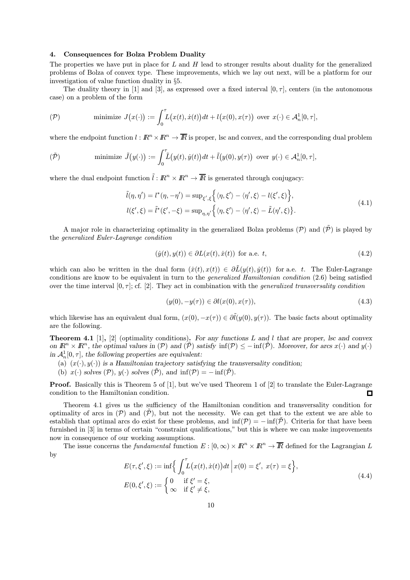#### 4. Consequences for Bolza Problem Duality

The properties we have put in place for  $L$  and  $H$  lead to stronger results about duality for the generalized problems of Bolza of convex type. These improvements, which we lay out next, will be a platform for our investigation of value function duality in §5.

The duality theory in [1] and [3], as expressed over a fixed interval  $[0, \tau]$ , centers (in the autonomous case) on a problem of the form

$$
\text{(P)} \qquad \text{minimize } J(x(\cdot)) := \int_0^{\tau} L(x(t), \dot{x}(t)) dt + l(x(0), x(\tau)) \text{ over } x(\cdot) \in \mathcal{A}_n^1[0, \tau],
$$

where the endpoint function  $l : \mathbb{R}^n \times \mathbb{R}^n \to \overline{\mathbb{R}}$  is proper, lsc and convex, and the corresponding dual problem

$$
(\tilde{\mathcal{P}}) \quad \text{minimize } \tilde{J}(y(\cdot)) := \int_0^{\tau} \tilde{L}(y(t), \dot{y}(t)) dt + \tilde{l}(y(0), y(\tau)) \text{ over } y(\cdot) \in \mathcal{A}_n^1[0, \tau],
$$

where the dual endpoint function  $\tilde{l}: \mathbb{R}^n \times \mathbb{R}^n \to \overline{\mathbb{R}}$  is generated through conjugacy:

$$
\tilde{l}(\eta, \eta') = l^*(\eta, -\eta') = \sup_{\xi', \xi} \left\{ \langle \eta, \xi' \rangle - \langle \eta', \xi \rangle - l(\xi', \xi) \right\},
$$
\n
$$
l(\xi', \xi) = \tilde{l}^*(\xi', -\xi) = \sup_{\eta, \eta'} \left\{ \langle \eta, \xi' \rangle - \langle \eta', \xi \rangle - \tilde{L}(\eta', \xi) \right\}.
$$
\n(4.1)

A major role in characterizing optimality in the generalized Bolza problems  $(\mathcal{P})$  and  $(\tilde{\mathcal{P}})$  is played by the generalized Euler-Lagrange condition

$$
(\dot{y}(t), y(t)) \in \partial L(x(t), \dot{x}(t)) \text{ for a.e. } t,
$$
\n
$$
(4.2)
$$

which can also be written in the dual form  $(\dot{x}(t), x(t)) \in \partial \tilde{L}(y(t), \dot{y}(t))$  for a.e. t. The Euler-Lagrange conditions are know to be equivalent in turn to the generalized Hamiltonian condition (2.6) being satisfied over the time interval  $[0, \tau]$ ; cf. [2]. They act in combination with the *generalized transversality condition* 

$$
(y(0), -y(\tau)) \in \partial l(x(0), x(\tau)), \tag{4.3}
$$

which likewise has an equivalent dual form,  $(x(0), -x(\tau)) \in \partial \tilde{l}(y(0), y(\tau))$ . The basic facts about optimality are the following.

**Theorem 4.1** [1], [2] (optimality conditions). For any functions L and l that are proper, lsc and convex on  $\mathbb{R}^n \times \mathbb{R}^n$ , the optimal values in  $(\mathcal{P})$  and  $(\tilde{\mathcal{P}})$  satisfy  $\inf(\mathcal{P}) \leq -\inf(\tilde{\mathcal{P}})$ . Moreover, for arcs  $x(\cdot)$  and  $y(\cdot)$ in  $\mathcal{A}_n^1[0, \tau]$ , the following properties are equivalent:

- (a)  $(x(\cdot), y(\cdot))$  is a Hamiltonian trajectory satisfying the transversality condition;
- (b)  $x(\cdot)$  solves  $(\mathcal{P}), y(\cdot)$  solves  $(\tilde{\mathcal{P}}),$  and  $\inf(\mathcal{P}) = -\inf(\tilde{\mathcal{P}})$ .

Proof. Basically this is Theorem 5 of [1], but we've used Theorem 1 of [2] to translate the Euler-Lagrange condition to the Hamiltonian condition. 口

Theorem 4.1 gives us the sufficiency of the Hamiltonian condition and transversality condition for optimality of arcs in  $(\mathcal{P})$  and  $(\mathcal{P})$ , but not the necessity. We can get that to the extent we are able to establish that optimal arcs do exist for these problems, and  $\inf(\mathcal{P}) = -\inf(\tilde{\mathcal{P}})$ . Criteria for that have been furnished in [3] in terms of certain "constraint qualifications," but this is where we can make improvements now in consequence of our working assumptions.

The issue concerns the fundamental function  $E : [0, \infty) \times \mathbb{R}^n \times \mathbb{R}^n \to \overline{\mathbb{R}}$  defined for the Lagrangian L by

$$
E(\tau, \xi', \xi) := \inf \left\{ \int_0^{\tau} L(x(t), \dot{x}(t)) dt \, \middle| \, x(0) = \xi', \ x(\tau) = \xi \right\},
$$
  
\n
$$
E(0, \xi', \xi) := \begin{cases} 0 & \text{if } \xi' = \xi, \\ \infty & \text{if } \xi' \neq \xi, \end{cases}
$$
\n
$$
(4.4)
$$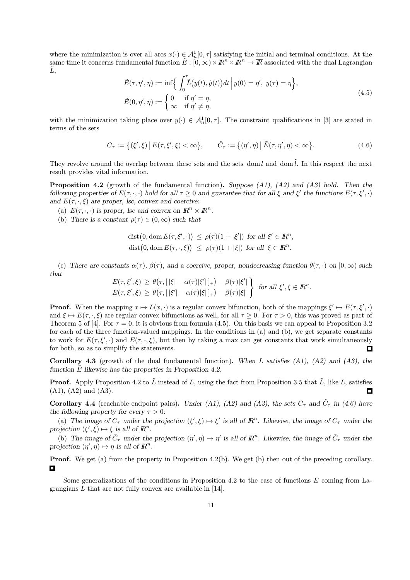where the minimization is over all arcs  $x(\cdot) \in \mathcal{A}_n^1[0, \tau]$  satisfying the initial and terminal conditions. At the same time it concerns fundamental function  $\tilde{E}:[0,\infty)\times\mathbb{R}^n\times\mathbb{R}^n\to\overline{\mathbb{R}}$  associated with the dual Lagrangian  $L,$ 

$$
\tilde{E}(\tau, \eta', \eta) := \inf \Biggl\{ \int_0^{\tau} \tilde{L}(y(t), \dot{y}(t)) dt \Big| y(0) = \eta', \ y(\tau) = \eta \Biggr\},
$$
\n
$$
\tilde{E}(0, \eta', \eta) := \begin{cases} 0 & \text{if } \eta' = \eta, \\ \infty & \text{if } \eta' \neq \eta, \end{cases} \tag{4.5}
$$

with the minimization taking place over  $y(\cdot) \in \mathcal{A}_n^1[0,\tau]$ . The constraint qualifications in [3] are stated in terms of the sets

$$
C_{\tau} := \{ (\xi', \xi) \, \big| \, E(\tau, \xi', \xi) < \infty \}, \qquad \tilde{C}_{\tau} := \{ (\eta', \eta) \, \big| \, \tilde{E}(\tau, \eta', \eta) < \infty \}. \tag{4.6}
$$

They revolve around the overlap between these sets and the sets dom l and dom  $\tilde{l}$ . In this respect the next result provides vital information.

**Proposition 4.2** (growth of the fundamental function). Suppose  $(A1)$ ,  $(A2)$  and  $(A3)$  hold. Then the following properties of  $E(\tau, \cdot, \cdot)$  hold for all  $\tau \geq 0$  and guarantee that for all  $\xi$  and  $\xi'$  the functions  $E(\tau, \xi', \cdot)$ and  $E(\tau, \cdot, \xi)$  are proper, lsc, convex and coercive:

- (a)  $E(\tau, \cdot, \cdot)$  is proper, lsc and convex on  $\mathbb{R}^n \times \mathbb{R}^n$ .
- (b) There is a constant  $\rho(\tau) \in (0, \infty)$  such that

$$
\begin{aligned}\n\text{dist}\big(0, \text{dom}\, E(\tau, \xi', \cdot)\big) &\leq \rho(\tau)(1 + |\xi'|) \text{ for all } \xi' \in I\!\!R^n, \\
\text{dist}\big(0, \text{dom}\, E(\tau, \cdot, \xi)\big) &\leq \rho(\tau)(1 + |\xi|) \text{ for all } \xi \in I\!\!R^n.\n\end{aligned}
$$

(c) There are constants  $\alpha(\tau)$ ,  $\beta(\tau)$ , and a coercive, proper, nondecreasing function  $\theta(\tau, \cdot)$  on  $[0, \infty)$  such that

$$
\begin{array}{l}\nE(\tau,\xi',\xi) \geq \theta\big(\tau, [\,|\xi|-\alpha(\tau)|\xi'|\,]_+\big) - \beta(\tau)|\xi'|\, \\
E(\tau,\xi',\xi) \geq \theta\big(\tau, [\,|\xi'|-\alpha(\tau)|\xi|\,]_+\big) - \beta(\tau)|\xi|\,\n\end{array}\n\bigg\}\n\quad \text{for all } \xi',\xi \in \mathbb{R}^n.
$$

**Proof.** When the mapping  $x \mapsto L(x, \cdot)$  is a regular convex bifunction, both of the mappings  $\xi' \mapsto E(\tau, \xi', \cdot)$ and  $\xi \mapsto E(\tau, \cdot, \xi)$  are regular convex bifunctions as well, for all  $\tau \geq 0$ . For  $\tau > 0$ , this was proved as part of Theorem 5 of [4]. For  $\tau = 0$ , it is obvious from formula (4.5). On this basis we can appeal to Proposition 3.2 for each of the three function-valued mappings. In the conditions in (a) and (b), we get separate constants to work for  $E(\tau, \xi', \cdot)$  and  $E(\tau, \cdot, \xi)$ , but then by taking a max can get constants that work simultaneously for both, so as to simplify the statements.  $\Box$ 

**Corollary 4.3** (growth of the dual fundamental function). When L satisfies  $(A1)$ ,  $(A2)$  and  $(A3)$ , the function  $E$  likewise has the properties in Proposition 4.2.

**Proof.** Apply Proposition 4.2 to  $\tilde{L}$  instead of L, using the fact from Proposition 3.5 that  $\tilde{L}$ , like L, satisfies (A1), (A2) and (A3). п

**Corollary 4.4** (reachable endpoint pairs). Under (A1), (A2) and (A3), the sets  $C_{\tau}$  and  $\tilde{C}_{\tau}$  in (4.6) have the following property for every  $\tau > 0$ :

(a) The image of  $C_{\tau}$  under the projection  $(\xi', \xi) \mapsto \xi'$  is all of  $\mathbb{R}^n$ . Likewise, the image of  $C_{\tau}$  under the projection  $(\xi', \xi) \mapsto \xi$  is all of  $\mathbb{R}^n$ .

(b) The image of  $\tilde{C}_{\tau}$  under the projection  $(\eta', \eta) \mapsto \eta'$  is all of  $\mathbb{R}^n$ . Likewise, the image of  $\tilde{C}_{\tau}$  under the projection  $(\eta', \eta) \mapsto \eta$  is all of  $\mathbb{R}^n$ .

**Proof.** We get (a) from the property in Proposition 4.2(b). We get (b) then out of the preceding corollary.  $\Box$ 

Some generalizations of the conditions in Proposition 4.2 to the case of functions  $E$  coming from Lagrangians L that are not fully convex are available in [14].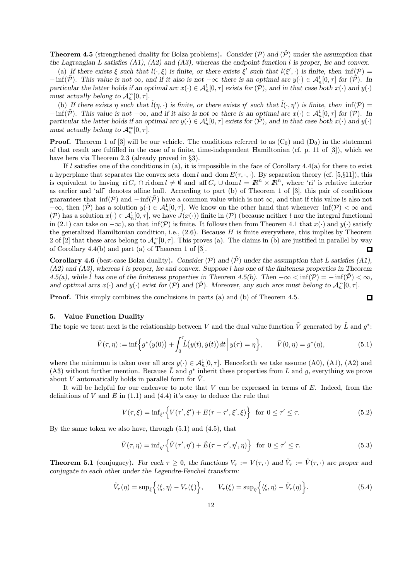**Theorem 4.5** (strengthened duality for Bolza problems). Consider  $(\mathcal{P})$  and  $(\mathcal{P})$  under the assumption that the Lagrangian L satisfies (A1), (A2) and (A3), whereas the endpoint function l is proper, lsc and convex.

(a) If there exists  $\xi$  such that  $l(\cdot,\xi)$  is finite, or there exists  $\xi'$  such that  $l(\xi',\cdot)$  is finite, then  $\inf(\mathcal{P})=$  $-\inf(\tilde{\mathcal{P}})$ . This value is not  $\infty$ , and if it also is not  $-\infty$  there is an optimal arc  $y(\cdot) \in \mathcal{A}_n^1[0,\tau]$  for  $(\tilde{\mathcal{P}})$ . In particular the latter holds if an optimal arc  $x(\cdot) \in \mathcal{A}_n^1[0, \tau]$  exists for  $(\mathcal{P})$ , and in that case both  $x(\cdot)$  and  $y(\cdot)$ must actually belong to  $\mathcal{A}_{n}^{\infty}[0,\tau].$ 

(b) If there exists  $\eta$  such that  $\tilde{l}(\eta, \cdot)$  is finite, or there exists  $\eta'$  such that  $\tilde{l}(\cdot, \eta')$  is finite, then  $\inf(\mathcal{P}) =$  $-\inf(\tilde{\mathcal{P}})$ . This value is not  $-\infty$ , and if it also is not  $\infty$  there is an optimal arc  $x(\cdot) \in \mathcal{A}_n^1[0, \tau]$  for  $(\mathcal{P})$ . In particular the latter holds if an optimal arc  $y(\cdot) \in \mathcal{A}_n^1[0, \tau]$  exists for  $(\tilde{\tilde{\mathcal{P}}})$ , and in that case both  $x(\cdot)$  and  $y(\cdot)$ must actually belong to  $\mathcal{A}_n^{\infty}[0,\tau]$ .

**Proof.** Theorem 1 of [3] will be our vehicle. The conditions referred to as  $(C_0)$  and  $(D_0)$  in the statement of that result are fulfilled in the case of a finite, time-independent Hamiltonian (cf. p. 11 of [3]), which we have here via Theorem 2.3 (already proved in §3).

If l satisfies one of the conditions in (a), it is impossible in the face of Corollary  $4.4(a)$  for there to exist a hyperplane that separates the convex sets dom l and dom  $E(\tau, \cdot, \cdot)$ . By separation theory (cf. [5,§11]), this is equivalent to having ri  $C_{\tau} \cap$  ridom  $l \neq \emptyset$  and aff  $C_{\tau} \cup$  dom  $l = \mathbb{R}^n \times \mathbb{R}^n$ , where 'ri' is relative interior as earlier and 'aff' denotes affine hull. According to part (b) of Theorem 1 of [3], this pair of conditions guarantees that  $\inf(\mathcal{P})$  and  $-\inf(\tilde{\mathcal{P}})$  have a common value which is not  $\infty$ , and that if this value is also not  $-\infty$ , then  $(\tilde{\mathcal{P}})$  has a solution  $y(\cdot) \in \mathcal{A}_n^1[0,\tau]$ . We know on the other hand that whenever  $\inf(\mathcal{P}) < \infty$  and (P) has a solution  $x(\cdot) \in \mathcal{A}_n^1[0, \tau]$ , we have  $J(x(\cdot))$  finite in (P) (because neither l nor the integral functional in (2.1) can take on  $-\infty$ ), so that inf(P) is finite. It follows then from Theorem 4.1 that  $x(\cdot)$  and  $y(\cdot)$  satisfy the generalized Hamiltonian condition, i.e.,  $(2.6)$ . Because H is finite everywhere, this implies by Theorem 2 of [2] that these arcs belong to  $\mathcal{A}_n^{\infty}[0,\tau]$ . This proves (a). The claims in (b) are justified in parallel by way of Corollary 4.4(b) and part (a) of Theorem 1 of [3]. П

**Corollary 4.6** (best-case Bolza duality). Consider (P) and  $(\tilde{P})$  under the assumption that L satisfies (A1),  $(A2)$  and  $(A3)$ , whereas l is proper, lsc and convex. Suppose l has one of the finiteness properties in Theorem 4.5(a), while  $\tilde{l}$  has one of the finiteness properties in Theorem 4.5(b). Then  $-\infty < \inf(\mathcal{P}) = -\inf(\tilde{\mathcal{P}}) < \infty$ , and optimal arcs  $x(\cdot)$  and  $y(\cdot)$  exist for  $(\mathcal{P})$  and  $(\tilde{\mathcal{P}})$ . Moreover, any such arcs must belong to  $\mathcal{A}_n^{\infty}[0, \tau]$ .

Proof. This simply combines the conclusions in parts (a) and (b) of Theorem 4.5.

#### 5. Value Function Duality

The topic we treat next is the relationship between V and the dual value function  $\tilde{V}$  generated by  $\tilde{L}$  and  $q^*$ :

$$
\tilde{V}(\tau,\eta) := \inf \Big\{ g^*(y(0)) + \int_0^{\tau} \tilde{L}(y(t), \dot{y}(t)) dt \Big| y(\tau) = \eta \Big\}, \qquad \tilde{V}(0,\eta) = g^*(\eta), \tag{5.1}
$$

 $\Box$ 

where the minimum is taken over all arcs  $y(\cdot) \in \mathcal{A}_n^1[0, \tau]$ . Henceforth we take assume (A0), (A1), (A2) and (A3) without further mention. Because  $\tilde{L}$  and  $g^*$  inherit these properties from L and g, everything we prove about V automatically holds in parallel form for  $\tilde{V}$ .

It will be helpful for our endeavor to note that  $V$  can be expressed in terms of  $E$ . Indeed, from the definitions of V and  $E$  in (1.1) and (4.4) it's easy to deduce the rule that

$$
V(\tau, \xi) = \inf_{\xi'} \left\{ V(\tau', \xi') + E(\tau - \tau', \xi', \xi) \right\} \text{ for } 0 \le \tau' \le \tau. \tag{5.2}
$$

By the same token we also have, through (5.1) and (4.5), that

$$
\tilde{V}(\tau,\eta) = \inf_{\eta'} \left\{ \tilde{V}(\tau',\eta') + \tilde{E}(\tau - \tau',\eta',\eta) \right\} \text{ for } 0 \le \tau' \le \tau. \tag{5.3}
$$

**Theorem 5.1** (conjugacy). For each  $\tau \ge 0$ , the functions  $V_{\tau} := V(\tau, \cdot)$  and  $\tilde{V}_{\tau} := \tilde{V}(\tau, \cdot)$  are proper and conjugate to each other under the Legendre-Fenchel transform:

$$
\tilde{V}_{\tau}(\eta) = \sup_{\xi} \left\{ \langle \xi, \eta \rangle - V_{\tau}(\xi) \right\}, \qquad V_{\tau}(\xi) = \sup_{\eta} \left\{ \langle \xi, \eta \rangle - \tilde{V}_{\tau}(\eta) \right\}.
$$
\n(5.4)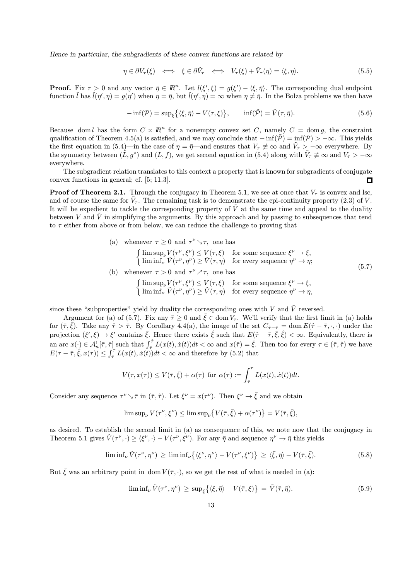Hence in particular, the subgradients of these convex functions are related by

$$
\eta \in \partial V_{\tau}(\xi) \iff \xi \in \partial \tilde{V}_{\tau} \iff V_{\tau}(\xi) + \tilde{V}_{\tau}(\eta) = \langle \xi, \eta \rangle. \tag{5.5}
$$

**Proof.** Fix  $\tau > 0$  and any vector  $\bar{\eta} \in \mathbb{R}^n$ . Let  $l(\xi', \xi) = g(\xi') - \langle \xi, \bar{\eta} \rangle$ . The corresponding dual endpoint function  $\tilde{l}$  has  $\tilde{l}(\eta', \eta) = g(\eta')$  when  $\eta = \bar{\eta}$ , but  $\tilde{l}(\eta', \eta) = \infty$  when  $\eta \neq \bar{\eta}$ . In the Bolza problems we then have

$$
-\inf(\mathcal{P}) = \sup_{\xi} \{ \langle \xi, \bar{\eta} \rangle - V(\tau, \xi) \}, \qquad \inf(\tilde{\mathcal{P}}) = \tilde{V}(\tau, \bar{\eta}). \tag{5.6}
$$

Because dom l has the form  $C \times \mathbb{R}^n$  for a nonempty convex set C, namely  $C = \text{dom } q$ , the constraint qualification of Theorem 4.5(a) is satisfied, and we may conclude that  $-\inf(\tilde{\mathcal{P}}) = \inf(\mathcal{P}) > -\infty$ . This yields the first equation in (5.4)—in the case of  $\eta = \bar{\eta}$ —and ensures that  $V_{\tau} \neq \infty$  and  $\tilde{V}_{\tau} > -\infty$  everywhere. By the symmetry between  $(L, g^*)$  and  $(L, f)$ , we get second equation in (5.4) along with  $\hat{V}_\tau \not\equiv \infty$  and  $V_\tau > -\infty$ everywhere.

The subgradient relation translates to this context a property that is known for subgradients of conjugate convex functions in general; cf. [5; 11.3].  $\Box$ 

**Proof of Theorem 2.1.** Through the conjugacy in Theorem 5.1, we see at once that  $V<sub>\tau</sub>$  is convex and lsc, and of course the same for  $V<sub>\tau</sub>$ . The remaining task is to demonstrate the epi-continuity property (2.3) of V. It will be expedient to tackle the corresponding property of  $\tilde{V}$  at the same time and appeal to the duality between V and  $\tilde{V}$  in simplifying the arguments. By this approach and by passing to subsequences that tend to  $\tau$  either from above or from below, we can reduce the challenge to proving that

(a) whenever  $\tau \geq 0$  and  $\tau^{\nu} \setminus \tau$ , one has

$$
\begin{cases}\n\limsup_{\nu} V(\tau^{\nu}, \xi^{\nu}) \leq V(\tau, \xi) & \text{for some sequence } \xi^{\nu} \to \xi, \\
\liminf_{\nu} \tilde{V}(\tau^{\nu}, \eta^{\nu}) \geq \tilde{V}(\tau, \eta) & \text{for every sequence } \eta^{\nu} \to \eta; \n\end{cases}
$$
\n(b) whenever  $\tau > 0$  and  $\tau^{\nu} \nearrow \tau$ , one has\n
$$
\begin{cases}\n\limsup_{\nu} V(\tau^{\nu}, \xi^{\nu}) \leq V(\tau, \xi) & \text{for some sequence } \xi^{\nu} \to \xi, \\
\liminf_{\nu} \tilde{V}(\tau^{\nu}, \eta^{\nu}) \geq \tilde{V}(\tau, \eta) & \text{for every sequence } \eta^{\nu} \to \eta,\n\end{cases}
$$
\n(5.7)

since these "subproperties" yield by duality the corresponding ones with V and  $\tilde{V}$  reversed.

Argument for (a) of (5.7). Fix any  $\bar{\tau} \ge 0$  and  $\bar{\xi} \in \text{dom } V_{\bar{\tau}}$ . We'll verify that the first limit in (a) holds for  $(\bar{\tau}, \bar{\xi})$ . Take any  $\hat{\tau} > \bar{\tau}$ . By Corollary 4.4(a), the image of the set  $C_{\hat{\tau}-\bar{\tau}} = \text{dom } E(\hat{\tau}-\bar{\tau}, \cdot, \cdot)$  under the projection  $(\xi', \xi) \mapsto \xi'$  contains  $\overline{\xi}$ . Hence there exists  $\hat{\xi}$  such that  $E(\hat{\tau} - \overline{\tau}, \overline{\xi}, \hat{\xi}) < \infty$ . Equivalently, there is an arc  $x(\cdot) \in \mathcal{A}_n^1[\bar{\tau}, \hat{\tau}]$  such that  $\int_{\bar{\tau}}^{\hat{\tau}} L(x(t), \dot{x}(t)) dt < \infty$  and  $x(\bar{\tau}) = \bar{\xi}$ . Then too for every  $\tau \in (\bar{\tau}, \hat{\tau})$  we have  $E(\tau - \overline{\tau}, \overline{\xi}, x(\tau)) \leq \int_{\overline{\tau}}^{\tau} L(x(t), \dot{x}(t)) dt < \infty$  and therefore by (5.2) that

$$
V(\tau, x(\tau)) \leq V(\bar{\tau}, \bar{\xi}) + \alpha(\tau) \text{ for } \alpha(\tau) := \int_{\bar{\tau}}^{\tau} L(x(t), \dot{x}(t)) dt.
$$

Consider any sequence  $\tau^{\nu} \setminus \bar{\tau}$  in  $(\bar{\tau}, \hat{\tau})$ . Let  $\xi^{\nu} = x(\tau^{\nu})$ . Then  $\xi^{\nu} \to \bar{\xi}$  and we obtain

$$
\limsup\nolimits_\nu V(\tau^\nu,\xi^\nu)\le \limsup\nolimits_\nu \bigl\{V(\bar \tau,\bar \xi)+\alpha(\tau^\nu)\bigr\}=V(\bar \tau,\bar \xi),
$$

as desired. To establish the second limit in (a) as consequence of this, we note now that the conjugacy in Theorem 5.1 gives  $V(\tau^{\nu},\cdot) \geq \langle \xi^{\nu}, \cdot \rangle - V(\tau^{\nu}, \xi^{\nu})$ . For any  $\bar{\eta}$  and sequence  $\eta^{\nu} \to \bar{\eta}$  this yields

$$
\liminf_{\nu} \tilde{V}(\tau^{\nu}, \eta^{\nu}) \ge \liminf_{\nu} \{ \langle \xi^{\nu}, \eta^{\nu} \rangle - V(\tau^{\nu}, \xi^{\nu}) \} \ge \langle \bar{\xi}, \bar{\eta} \rangle - V(\bar{\tau}, \bar{\xi}). \tag{5.8}
$$

But  $\bar{\xi}$  was an arbitrary point in dom  $V(\bar{\tau},\cdot)$ , so we get the rest of what is needed in (a):

$$
\liminf_{\nu} \tilde{V}(\tau^{\nu}, \eta^{\nu}) \ge \sup_{\xi} \{ \langle \xi, \bar{\eta} \rangle - V(\bar{\tau}, \xi) \} = \tilde{V}(\bar{\tau}, \bar{\eta}). \tag{5.9}
$$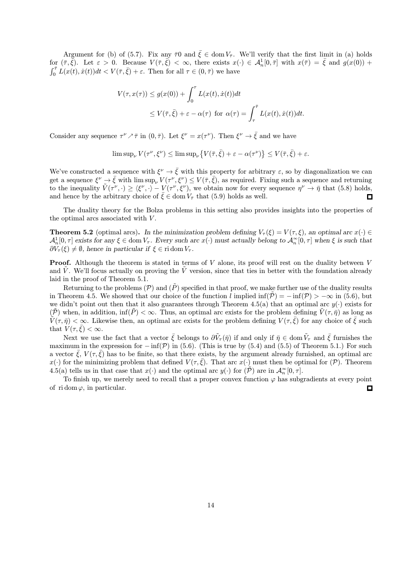Argument for (b) of (5.7). Fix any  $\bar{\tau}0$  and  $\bar{\xi} \in \text{dom } V_{\bar{\tau}}$ . We'll verify that the first limit in (a) holds for  $(\bar{\tau}, \bar{\xi})$ . Let  $\varepsilon > 0$ . Because  $V(\bar{\tau}, \bar{\xi}) < \infty$ , there exists  $x(\cdot) \in \mathcal{A}_n^1[0, \bar{\tau}]$  with  $x(\bar{\tau}) = \bar{\xi}$  and  $g(x(0))$  +  $\int_0^{\bar{\tau}} L(x(t), \dot{x}(t))dt < V(\bar{\tau}, \bar{\xi}) + \varepsilon$ . Then for all  $\tau \in (0, \bar{\tau})$  we have

$$
V(\tau, x(\tau)) \le g(x(0)) + \int_0^{\tau} L(x(t), \dot{x}(t)) dt
$$
  
 
$$
\le V(\bar{\tau}, \bar{\xi}) + \varepsilon - \alpha(\tau) \text{ for } \alpha(\tau) = \int_{\tau}^{\bar{\tau}} L(x(t), \dot{x}(t)) dt.
$$

Consider any sequence  $\tau^{\nu} \nearrow \bar{\tau}$  in  $(0, \bar{\tau})$ . Let  $\xi^{\nu} = x(\tau^{\nu})$ . Then  $\xi^{\nu} \rightarrow \bar{\xi}$  and we have

$$
\limsup\nolimits_{\nu} V(\tau^{\nu}, \xi^{\nu}) \le \limsup\nolimits_{\nu} \{ V(\bar{\tau}, \bar{\xi}) + \varepsilon - \alpha(\tau^{\nu}) \} \le V(\bar{\tau}, \bar{\xi}) + \varepsilon.
$$

We've constructed a sequence with  $\xi^{\nu} \to \bar{\xi}$  with this property for arbitrary  $\varepsilon$ , so by diagonalization we can get a sequence  $\xi^{\nu} \to \bar{\xi}$  with lim sup<sub> $\nu$ </sub>  $V(\tau^{\nu}, \xi^{\nu}) \leq V(\bar{\tau}, \bar{\xi})$ , as required. Fixing such a sequence and returning to the inequality  $\tilde{V}(\tau^{\nu},\cdot) \geq \langle \xi^{\nu}, \cdot \rangle - V(\tau^{\nu}, \xi^{\nu}),$  we obtain now for every sequence  $\eta^{\nu} \to \bar{\eta}$  that (5.8) holds, and hence by the arbitrary choice of  $\bar{\xi} \in \text{dom } V_{\bar{\tau}}$  that (5.9) holds as well.  $\Box$ 

The duality theory for the Bolza problems in this setting also provides insights into the properties of the optimal arcs associated with  $V$ .

**Theorem 5.2** (optimal arcs). In the minimization problem defining  $V_\tau(\xi) = V(\tau, \xi)$ , an optimal arc  $x(\cdot) \in$  $\mathcal{A}_n^1[0,\tau]$  exists for any  $\xi \in \text{dom } V_\tau$ . Every such arc  $x(\cdot)$  must actually belong to  $\mathcal{A}_n^{\infty}[0,\tau]$  when  $\xi$  is such that  $\partial V_{\tau}(\xi) \neq \emptyset$ , hence in particular if  $\xi \in \text{ri dom } V_{\tau}$ .

**Proof.** Although the theorem is stated in terms of V alone, its proof will rest on the duality between V and  $\tilde{V}$ . We'll focus actually on proving the  $\tilde{V}$  version, since that ties in better with the foundation already laid in the proof of Theorem 5.1.

Returning to the problems  $(\mathcal{P})$  and  $(\tilde{P})$  specified in that proof, we make further use of the duality results in Theorem 4.5. We showed that our choice of the function l implied inf( $\mathcal{P}$ ) = − inf( $\mathcal{P}$ ) > −∞ in (5.6), but we didn't point out then that it also guarantees through Theorem 4.5(a) that an optimal arc  $y(\cdot)$  exists for  $(\tilde{\mathcal{P}})$  when, in addition,  $\inf(\tilde{\mathcal{P}})<\infty$ . Thus, an optimal arc exists for the problem defining  $\tilde{V}(\tau,\bar{\eta})$  as long as  $\tilde{V}(\tau,\bar{\eta}) < \infty$ . Likewise then, an optimal arc exists for the problem defining  $V(\tau,\bar{\xi})$  for any choice of  $\bar{\xi}$  such that  $V(\tau, \bar{\xi}) < \infty$ .

Next we use the fact that a vector  $\bar{\xi}$  belongs to  $\partial \tilde{V}_{\tau}(\bar{\eta})$  if and only if  $\bar{\eta} \in \text{dom}\, \tilde{V}_{\tau}$  and  $\bar{\xi}$  furnishes the maximum in the expression for  $-\inf(\mathcal{P})$  in (5.6). (This is true by (5.4) and (5.5) of Theorem 5.1.) For such a vector  $\bar{\xi}$ ,  $V(\tau, \bar{\xi})$  has to be finite, so that there exists, by the argument already furnished, an optimal arc  $x(\cdot)$  for the minimizing problem that defined  $V(\tau, \bar{\xi})$ . That arc  $x(\cdot)$  must then be optimal for  $(\mathcal{P})$ . Theorem 4.5(a) tells us in that case that  $x(\cdot)$  and the optimal arc  $y(\cdot)$  for  $(\tilde{\mathcal{P}})$  are in  $\mathcal{A}_n^{\infty}[0, \tau]$ .

To finish up, we merely need to recall that a proper convex function  $\varphi$  has subgradients at every point of ridom  $\varphi$ , in particular.  $\Box$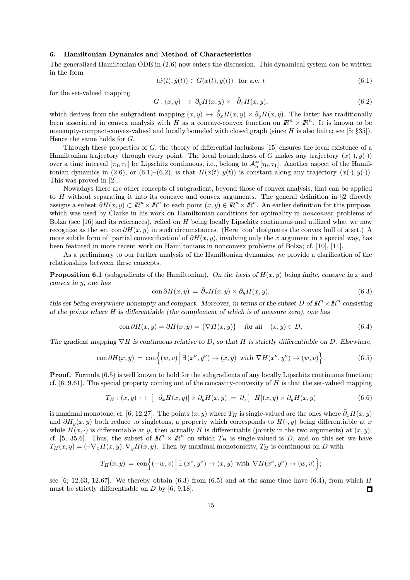#### 6. Hamiltonian Dynamics and Method of Characteristics

The generalized Hamiltonian ODE in (2.6) now enters the discussion. This dynamical system can be written in the form

$$
(\dot{x}(t), \dot{y}(t)) \in G(x(t), y(t)) \quad \text{for a.e. } t \tag{6.1}
$$

for the set-valued mapping

$$
G: (x, y) \mapsto \partial_y H(x, y) \times -\tilde{\partial}_x H(x, y), \tag{6.2}
$$

which derives from the subgradient mapping  $(x, y) \mapsto \tilde{\partial}_x H(x, y) \times \partial_y H(x, y)$ . The latter has traditionally been associated in convex analysis with H as a concave-convex function on  $\mathbb{R}^n \times \mathbb{R}^n$ . It is known to be nonempty-compact-convex-valued and locally bounded with closed graph (since H is also finite; see [5; §35]). Hence the same holds for G.

Through these properties of  $G$ , the theory of differential inclusions [15] ensures the local existence of a Hamiltonian trajectory through every point. The local boundedness of G makes any trajectory  $(x(\cdot), y(\cdot))$ over a time interval  $[\tau_0, \tau_1]$  be Lipschitz continuous, i.e., belong to  $\mathcal{A}_n^{\infty}[\tau_0, \tau_1]$ . Another aspect of the Hamiltonian dynamics in (2.6), or (6.1)–(6.2), is that  $H(x(t), y(t))$  is constant along any trajectory  $(x(\cdot), y(\cdot))$ . This was proved in [2].

Nowadays there are other concepts of subgradient, beyond those of convex analysis, that can be applied to H without separating it into its concave and convex arguments. The general definition in  $\S 2$  directly assigns a subset  $\partial H(x, y) \subset \mathbb{R}^n \times \mathbb{R}^n$  to each point  $(x, y) \in \mathbb{R}^n \times \mathbb{R}^n$ . An earlier definition for this purpose, which was used by Clarke in his work on Hamiltonian conditions for optimality in *nonconvex* problems of Bolza (see [16] and its references), relied on  $H$  being locally Lipschitz continuous and utilized what we now recognize as the set con  $\partial H(x, y)$  in such circumstances. (Here 'con' designates the convex hull of a set.) A more subtle form of 'partial convexification' of  $\partial H(x, y)$ , involving only the x argument in a special way, has been featured in more recent work on Hamiltonians in nonconvex problems of Bolza; cf. [10], [11].

As a preliminary to our further analysis of the Hamiltonian dynamics, we provide a clarification of the relationships between these concepts.

**Proposition 6.1** (subgradients of the Hamiltonian). On the basis of  $H(x, y)$  being finite, concave in x and convex in y, one has

$$
\text{con}\,\partial H(x,y) = \tilde{\partial}_x H(x,y) \times \partial_y H(x,y),\tag{6.3}
$$

this set being everywhere nonempty and compact. Moreover, in terms of the subset D of  $\mathbb{R}^n \times \mathbb{R}^n$  consisting of the points where  $H$  is differentiable (the complement of which is of measure zero), one has

$$
\text{con }\partial H(x,y) = \partial H(x,y) = \{\nabla H(x,y)\} \quad \text{for all} \quad (x,y) \in D,\tag{6.4}
$$

The gradient mapping  $\nabla H$  is continuous relative to D, so that H is strictly differentiable on D. Elsewhere,

$$
\text{con}\,\partial H(x,y) \,=\, \text{con}\Big\{(w,v)\,\Big|\,\exists\,(x^\nu,y^\nu)\rightarrow (x,y)\,\,\text{ with }\,\nabla H(x^\nu,y^\nu)\rightarrow (w,v)\Big\}.\tag{6.5}
$$

Proof. Formula (6.5) is well known to hold for the subgradients of any locally Lipschitz continuous function; cf.  $[6, 9.61]$ . The special property coming out of the concavity-convexity of H is that the set-valued mapping

$$
T_H: (x, y) \mapsto \left[ -\tilde{\partial}_x H(x, y) \right] \times \partial_y H(x, y) = \partial_x [-H](x, y) \times \partial_y H(x, y) \tag{6.6}
$$

is maximal monotone; cf. [6; 12.27]. The points  $(x, y)$  where  $T_H$  is single-valued are the ones where  $\tilde{\partial}_x H(x, y)$ and  $\partial H_y(x, y)$  both reduce to singletons, a property which corresponds to  $H(\cdot, y)$  being differentiable at x while  $H(x, \cdot)$  is differentiable at y; then actually H is differentiable (jointly in the two arguments) at  $(x, y)$ ; cf. [5; 35.6]. Thus, the subset of  $\mathbb{R}^n \times \mathbb{R}^n$  on which  $T_H$  is single-valued is D, and on this set we have  $T_H(x, y) = (-\nabla_x H(x, y), \nabla_y H(x, y))$ . Then by maximal monotonicity,  $T_H$  is continuous on D with

$$
T_H(x,y) = \text{con}\Big\{(-w,v) \Big| \, \exists \, (x^{\nu},y^{\nu}) \rightarrow (x,y) \text{ with } \nabla H(x^{\nu},y^{\nu}) \rightarrow (w,v) \Big\};
$$

see [6; 12.63, 12.67]. We thereby obtain  $(6.3)$  from  $(6.5)$  and at the same time have  $(6.4)$ , from which H must be strictly differentiable on  $D$  by [6; 9.18].  $\Box$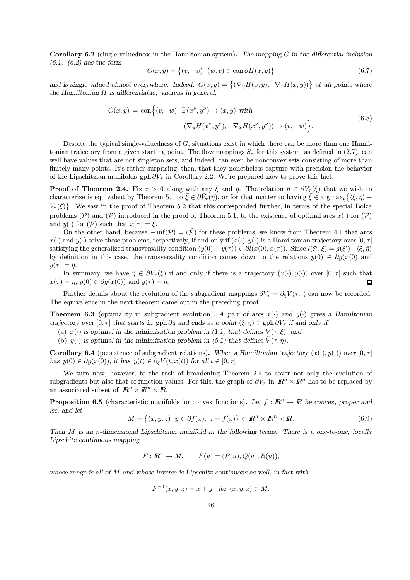Corollary 6.2 (single-valuedness in the Hamiltonian system). The mapping  $G$  in the differential inclusion  $(6.1)–(6.2)$  has the form

$$
G(x,y) = \{(v,-w) | (w,v) \in \text{con }\partial H(x,y)\}\
$$
\n(6.7)

and is single-valued almost everywhere. Indeed,  $G(x, y) = \{(\nabla_y H(x, y), -\nabla_x H(x, y))\}\)$  at all points where the Hamiltonian H is differentiable, whereas in general,

$$
G(x,y) = \text{con}\Big\{(v,-w) \Big| \exists (x^{\nu},y^{\nu}) \to (x,y) \text{ with}
$$

$$
(\nabla_y H(x^{\nu}, y^{\nu}), -\nabla_x H(x^{\nu}, y^{\nu})) \to (v, -w) \Big\}.
$$
(6.8)

Despite the typical single-valuedness of  $G$ , situations exist in which there can be more than one Hamiltonian trajectory from a given starting point. The flow mappings  $S_{\tau}$  for this system, as defined in (2.7), can well have values that are not singleton sets, and indeed, can even be nonconvex sets consisting of more than finitely many points. It's rather surprising, then, that they nonetheless capture with precision the behavior of the Lipschitzian manifolds gph  $\partial V_{\tau}$  in Corollary 2.2. We're prepared now to prove this fact.

**Proof of Theorem 2.4.** Fix  $\tau > 0$  along with any  $\bar{\xi}$  and  $\bar{\eta}$ . The relation  $\bar{\eta} \in \partial V_{\tau}(\bar{\xi})$  that we wish to characterize is equivalent by Theorem 5.1 to  $\bar{\xi} \in \partial \tilde{V}_{\tau}(\bar{\eta})$ , or for that matter to having  $\bar{\xi} \in \text{argmax}_{\xi} \{ \langle \xi, \bar{\eta} \rangle V_{\tau}(\xi)$ . We saw in the proof of Theorem 5.2 that this corresponded further, in terms of the special Bolza problems (P) and (P) introduced in the proof of Theorem 5.1, to the existence of optimal arcs  $x(\cdot)$  for (P) and  $y(\cdot)$  for  $(\tilde{\mathcal{P}})$  such that  $x(\tau) = \bar{\xi}$ .

On the other hand, because  $-\inf(\mathcal{P})=(\overline{\mathcal{P}})$  for these problems, we know from Theorem 4.1 that arcs  $x(\cdot)$  and  $y(\cdot)$  solve these problems, respectively, if and only if  $(x(\cdot), y(\cdot))$  is a Hamiltonian trajectory over  $[0, \tau]$ satisfying the generalized transversality condition  $(y(0), -y(\tau)) \in \partial l(x(0), x(\tau))$ . Since  $l(\xi', \xi) = g(\xi') - \langle \xi, \bar{\eta} \rangle$ by definition in this case, the transversality condition comes down to the relations  $y(0) \in \partial g(x(0))$  and  $y(\tau)=\bar{\eta}.$ 

In summary, we have  $\bar{\eta} \in \partial V_{\tau}(\bar{\xi})$  if and only if there is a trajectory  $(x(\cdot), y(\cdot))$  over  $[0, \tau]$  such that  $x(\tau) = \bar{\eta}$ ,  $y(0) \in \partial g(x(0))$  and  $y(\tau) = \bar{\eta}$ .  $\Box$ 

Further details about the evolution of the subgradient mappings  $\partial V_\tau = \partial_\xi V(\tau, \cdot)$  can now be recorded. The equivalence in the next theorem came out in the preceding proof.

**Theorem 6.3** (optimality in subgradient evolution). A pair of arcs  $x(\cdot)$  and  $y(\cdot)$  gives a Hamiltonian trajectory over [0,  $\tau$ ] that starts in gph ∂g and ends at a point  $(\xi, \eta) \in \text{gph } \partial V_\tau$  if and only if

- (a)  $x(\cdot)$  is optimal in the minimization problem in (1.1) that defines  $V(\tau,\xi)$ , and
- (b)  $y(\cdot)$  is optimal in the minimization problem in (5.1) that defines  $\tilde{V}(\tau, \eta)$ .

**Corollary 6.4** (persistence of subgradient relations). When a Hamiltonian trajectory  $(x(\cdot), y(\cdot))$  over  $[0, \tau]$ has  $y(0) \in \partial g(x(0))$ , it has  $y(t) \in \partial_{\xi} V(t, x(t))$  for all  $t \in [0, \tau]$ .

We turn now, however, to the task of broadening Theorem 2.4 to cover not only the evolution of subgradients but also that of function values. For this, the graph of  $\partial V_\tau$  in  $\mathbb{R}^n \times \mathbb{R}^n$  has to be replaced by an associated subset of  $\mathbb{R}^n \times \mathbb{R}^n \times \mathbb{R}$ .

**Proposition 6.5** (characteristic manifolds for convex functions). Let  $f : \mathbb{R}^n \to \overline{\mathbb{R}}$  be convex, proper and lsc, and let

$$
M = \{(x, y, z) \mid y \in \partial f(x), z = f(x)\} \subset \mathbb{R}^n \times \mathbb{R}^n \times \mathbb{R}.
$$
 (6.9)

Then M is an n-dimensional Lipschitzian manifold in the following terms. There is a one-to-one, locally Lipschitz continuous mapping

$$
F: \mathbb{R}^n \to M, \qquad F(u) = (P(u), Q(u), R(u)),
$$

whose range is all of M and whose inverse is Lipschitz continuous as well, in fact with

$$
F^{-1}(x, y, z) = x + y
$$
 for  $(x, y, z) \in M$ .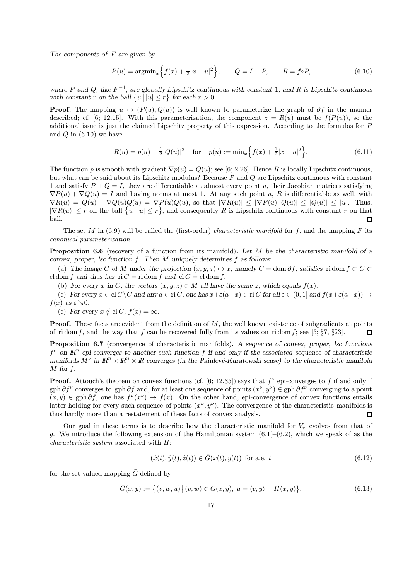The components of  $F$  are given by

$$
P(u) = \operatorname{argmin}_{x} \left\{ f(x) + \frac{1}{2}|x - u|^2 \right\}, \qquad Q = I - P, \qquad R = f \circ P,
$$
\n(6.10)

where P and Q, like  $F^{-1}$ , are globally Lipschitz continuous with constant 1, and R is Lipschitz continuous with constant r on the ball  $\{u \mid |u| \leq r\}$  for each  $r > 0$ .

**Proof.** The mapping  $u \mapsto (P(u), Q(u))$  is well known to parameterize the graph of  $\partial f$  in the manner described; cf. [6; 12.15]. With this parameterization, the component  $z = R(u)$  must be  $f(P(u))$ , so the additional issue is just the claimed Lipschitz property of this expression. According to the formulas for P and  $Q$  in  $(6.10)$  we have

$$
R(u) = p(u) - \frac{1}{2}|Q(u)|^2 \quad \text{for} \quad p(u) := \min_x \left\{ f(x) + \frac{1}{2}|x - u|^2 \right\}.
$$
 (6.11)

The function p is smooth with gradient  $\nabla p(u) = Q(u)$ ; see [6; 2.26]. Hence R is locally Lipschitz continuous, but what can be said about its Lipschitz modulus? Because P and Q are Lipschitz continuous with constant 1 and satisfy  $P + Q = I$ , they are differentiable at almost every point u, their Jacobian matrices satisfying  $\nabla P(u) + \nabla Q(u) = I$  and having norms at most 1. At any such point u, R is differentiable as well, with  $\nabla R(u) = Q(u) - \nabla Q(u)Q(u) = \nabla P(u)Q(u)$ , so that  $|\nabla R(u)| \leq |\nabla P(u)||Q(u)| \leq |Q(u)| \leq |u|$ . Thus,  $|\nabla R(u)| \leq r$  on the ball  $\{u \mid |u| \leq r\}$ , and consequently R is Lipschitz continuous with constant r on that ball. П

The set M in  $(6.9)$  will be called the (first-order) *characteristic manifold* for f, and the mapping F its canonical parameterization.

Proposition 6.6 (recovery of a function from its manifold). Let M be the characteristic manifold of a convex, proper, lsc function  $f$ . Then  $M$  uniquely determines  $f$  as follows:

(a) The image C of M under the projection  $(x, y, z) \mapsto x$ , namely  $C = \text{dom }\partial f$ , satisfies ridom  $f \subset C$ cl dom f and thus has ri  $C =$  ridom f and cl  $C =$  cl dom f.

(b) For every x in C, the vectors  $(x, y, z) \in M$  all have the same z, which equals  $f(x)$ .

(c) For every  $x \in \mathcal{C}\setminus C$  and any  $a \in \mathcal{r}: C$ , one has  $x+\varepsilon(a-x) \in \mathcal{r}: C$  for all  $\varepsilon \in (0,1]$  and  $f(x+\varepsilon(a-x)) \to$  $f(x)$  as  $\varepsilon \searrow 0$ .

(c) For every  $x \notin \text{cl } C$ ,  $f(x) = \infty$ .

**Proof.** These facts are evident from the definition of M, the well known existence of subgradients at points of ridom f, and the way that f can be recovered fully from its values on ridom f; see [5;  $\S 7$ ,  $\S 23$ ].  $\Box$ 

Proposition 6.7 (convergence of characteristic manifolds). A sequence of convex, proper, lsc functions  $f^{\nu}$  on  $\mathbb{R}^n$  epi-converges to another such function f if and only if the associated sequence of characteristic manifolds  $M^{\nu}$  in  $\mathbb{R}^n \times \mathbb{R}^n \times \mathbb{R}$  converges (in the Painlevé-Kuratowski sense) to the characteristic manifold M for f.

**Proof.** Attouch's theorem on convex functions (cf. [6; 12.35]) says that  $f^{\nu}$  epi-converges to f if and only if gph  $\partial f^{\nu}$  converges to gph  $\partial f$  and, for at least one sequence of points  $(x^{\nu}, y^{\nu}) \in \text{gph } \partial f^{\nu}$  converging to a point  $(x, y) \in \text{gph }\partial f$ , one has  $f^{\nu}(x^{\nu}) \to f(x)$ . On the other hand, epi-convergence of convex functions entails latter holding for every such sequence of points  $(x^{\nu}, y^{\nu})$ . The convergence of the characteristic manifolds is thus hardly more than a restatement of these facts of convex analysis. 0

Our goal in these terms is to describe how the characteristic manifold for  $V_{\tau}$  evolves from that of g. We introduce the following extension of the Hamiltonian system  $(6.1)$ – $(6.2)$ , which we speak of as the characteristic system associated with H:

$$
(\dot{x}(t), \dot{y}(t), \dot{z}(t)) \in \bar{G}(x(t), y(t)) \text{ for a.e. } t \tag{6.12}
$$

for the set-valued mapping  $\overline{G}$  defined by

$$
\bar{G}(x, y) := \{ (v, w, u) | (v, w) \in G(x, y), u = \langle v, y \rangle - H(x, y) \}.
$$
\n(6.13)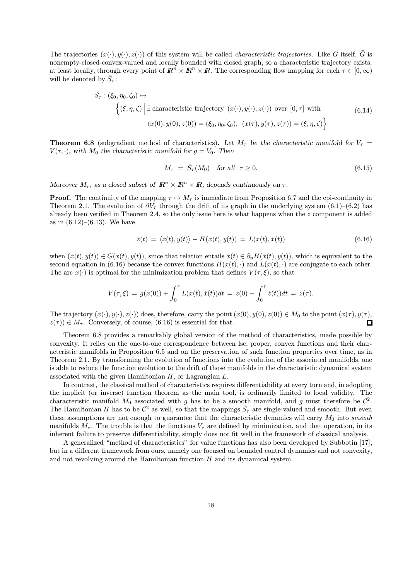The trajectories  $(x(\cdot), y(\cdot), z(\cdot))$  of this system will be called *characteristic trajectories*. Like G itself,  $\overline{G}$  is nonempty-closed-convex-valued and locally bounded with closed graph, so a characteristic trajectory exists, at least locally, through every point of  $\mathbb{R}^n \times \mathbb{R}^n \times \mathbb{R}$ . The corresponding flow mapping for each  $\tau \in [0, \infty)$ will be denoted by  $\bar{S}_{\tau}$ :

$$
\bar{S}_{\tau}: (\xi_0, \eta_0, \zeta_0) \mapsto
$$
\n
$$
\left\{ (\xi, \eta, \zeta) \middle| \exists \text{ characteristic trajectory } (x(\cdot), y(\cdot), z(\cdot)) \text{ over } [0, \tau] \text{ with } (6.14)
$$
\n
$$
(x(0), y(0), z(0)) = (\xi_0, \eta_0, \zeta_0), (x(\tau), y(\tau), z(\tau)) = (\xi, \eta, \zeta) \right\}
$$

**Theorem 6.8** (subgradient method of characteristics). Let  $M_{\tau}$  be the characteristic manifold for  $V_{\tau}$  =  $V(\tau, \cdot)$ , with  $M_0$  the characteristic manifold for  $g = V_0$ . Then

$$
M_{\tau} = \bar{S}_{\tau}(M_0) \quad \text{for all} \quad \tau \ge 0. \tag{6.15}
$$

Moreover  $M_{\tau}$ , as a closed subset of  $\mathbb{R}^n \times \mathbb{R}^n \times \mathbb{R}$ , depends continuously on  $\tau$ .

**Proof.** The continuity of the mapping  $\tau \mapsto M_{\tau}$  is immediate from Proposition 6.7 and the epi-continuity in Theorem 2.1. The evolution of  $\partial V_\tau$  through the drift of its graph in the underlying system (6.1)–(6.2) has already been verified in Theorem 2.4, so the only issue here is what happens when the  $z$  component is added as in  $(6.12)$ – $(6.13)$ . We have

$$
\dot{z}(t) = \langle \dot{x}(t), y(t) \rangle - H(x(t), y(t)) = L(x(t), \dot{x}(t)) \tag{6.16}
$$

when  $(\dot{x}(t), \dot{y}(t)) \in G(x(t), y(t))$ , since that relation entails  $\dot{x}(t) \in \partial_y H(x(t), y(t))$ , which is equivalent to the second equation in (6.16) because the convex functions  $H(x(t), \cdot)$  and  $L(x(t), \cdot)$  are conjugate to each other. The arc  $x(\cdot)$  is optimal for the minimization problem that defines  $V(\tau, \xi)$ , so that

$$
V(\tau, \xi) = g(x(0)) + \int_0^{\tau} L(x(t), \dot{x}(t)) dt = z(0) + \int_0^{\tau} \dot{z}(t) dt = z(\tau).
$$

The trajectory  $(x(\cdot), y(\cdot), z(\cdot))$  does, therefore, carry the point  $(x(0), y(0), z(0)) \in M_0$  to the point  $(x(\tau), y(\tau), \tau)$  $z(\tau) \in M_{\tau}$ . Conversely, of course, (6.16) is essential for that. П

Theorem 6.8 provides a remarkably global version of the method of characteristics, made possible by convexity. It relies on the one-to-one correspondence between lsc, proper, convex functions and their characteristic manifolds in Proposition 6.5 and on the preservation of such function properties over time, as in Theorem 2.1. By transforming the evolution of functions into the evolution of the associated manifolds, one is able to reduce the function evolution to the drift of those manifolds in the characteristic dynamical system associated with the given Hamiltonian  $H$ , or Lagrangian  $L$ .

In contrast, the classical method of characteristics requires differentiability at every turn and, in adopting the implicit (or inverse) function theorem as the main tool, is ordinarily limited to local validity. The characteristic manifold  $M_0$  associated with g has to be a smooth manifold, and g must therefore be  $\mathcal{C}^2$ . The Hamiltonian H has to be  $\mathcal{C}^2$  as well, so that the mappings  $\bar{S}_\tau$  are single-valued and smooth. But even these assumptions are not enough to guarantee that the characteristic dynamics will carry  $M_0$  into smooth manifolds  $M_{\tau}$ . The trouble is that the functions  $V_{\tau}$  are defined by minimization, and that operation, in its inherent failure to preserve differentiability, simply does not fit well in the framework of classical analysis.

A generalized "method of characteristics" for value functions has also been developed by Subbotin [17], but in a different framework from ours, namely one focused on bounded control dynamics and not convexity, and not revolving around the Hamiltonian function H and its dynamical system.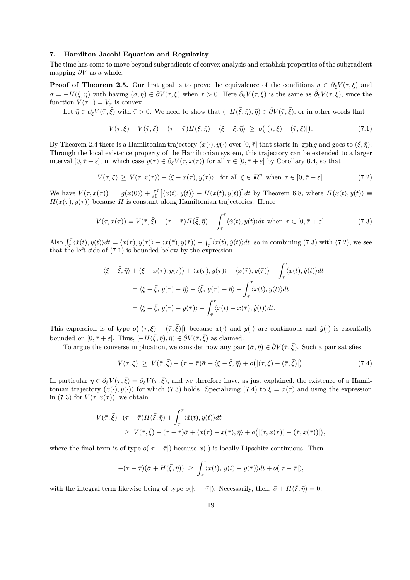#### 7. Hamilton-Jacobi Equation and Regularity

The time has come to move beyond subgradients of convex analysis and establish properties of the subgradient mapping  $\partial V$  as a whole.

**Proof of Theorem 2.5.** Our first goal is to prove the equivalence of the conditions  $\eta \in \partial_{\xi}V(\tau,\xi)$  and  $\sigma = -H(\xi, \eta)$  with having  $(\sigma, \eta) \in \hat{\partial}V(\tau, \xi)$  when  $\tau > 0$ . Here  $\partial_{\xi}V(\tau, \xi)$  is the same as  $\hat{\partial}_{\xi}V(\tau, \xi)$ , since the function  $V(\tau, \cdot) = V_{\tau}$  is convex.

Let  $\bar{\eta} \in \partial_{\varepsilon} V(\bar{\tau}, \bar{\xi})$  with  $\bar{\tau} > 0$ . We need to show that  $(-H(\bar{\xi}, \bar{\eta}), \bar{\eta}) \in \hat{\partial} V(\bar{\tau}, \bar{\xi})$ , or in other words that

$$
V(\tau,\xi) - V(\bar{\tau},\bar{\xi}) + (\tau - \bar{\tau})H(\bar{\xi},\bar{\eta}) - \langle \xi - \bar{\xi}, \bar{\eta} \rangle \ge o\big(|(\tau,\xi) - (\bar{\tau},\bar{\xi})|\big).
$$
\n(7.1)

By Theorem 2.4 there is a Hamiltonian trajectory  $(x(\cdot), y(\cdot))$  over  $[0, \overline{\tau}]$  that starts in gph g and goes to  $(\overline{\xi}, \overline{\eta})$ . Through the local existence property of the Hamiltonian system, this trajectory can be extended to a larger interval  $[0, \bar{\tau} + \varepsilon]$ , in which case  $y(\tau) \in \partial_{\xi} V(\tau, x(\tau))$  for all  $\tau \in [0, \bar{\tau} + \varepsilon]$  by Corollary 6.4, so that

$$
V(\tau,\xi) \ge V(\tau,x(\tau)) + \langle \xi - x(\tau), y(\tau) \rangle \quad \text{for all } \xi \in \mathbb{R}^n \text{ when } \tau \in [0,\bar{\tau} + \varepsilon]. \tag{7.2}
$$

We have  $V(\tau, x(\tau)) = g(x(0)) + \int_0^{\tau} [\langle \dot{x}(t), y(t) \rangle - H(x(t), y(t))] dt$  by Theorem 6.8, where  $H(x(t), y(t)) \equiv$  $H(x(\bar{\tau}), y(\bar{\tau}))$  because H is constant along Hamiltonian trajectories. Hence

$$
V(\tau, x(\tau)) = V(\bar{\tau}, \bar{\xi}) - (\tau - \bar{\tau})H(\bar{\xi}, \bar{\eta}) + \int_{\bar{\tau}}^{\tau} \langle \dot{x}(t), y(t) \rangle dt \text{ when } \tau \in [0, \bar{\tau} + \varepsilon]. \tag{7.3}
$$

Also  $\int_{\bar{\tau}}^{\tau} \langle \dot{x}(t), y(t) \rangle dt = \langle x(\tau), y(\tau) \rangle - \langle x(\bar{\tau}), y(\bar{\tau}) \rangle - \int_{\bar{\tau}}^{\tau} \langle x(t), \dot{y}(t) \rangle dt$ , so in combining (7.3) with (7.2), we see that the left side of (7.1) is bounded below by the expression

$$
-\langle \xi - \bar{\xi}, \bar{\eta} \rangle + \langle \xi - x(\tau), y(\tau) \rangle + \langle x(\tau), y(\tau) \rangle - \langle x(\bar{\tau}), y(\bar{\tau}) \rangle - \int_{\bar{\tau}}^{\tau} \langle x(t), \dot{y}(t) \rangle dt
$$
  

$$
= \langle \xi - \bar{\xi}, y(\tau) - \bar{\eta} \rangle + \langle \bar{\xi}, y(\tau) - \bar{\eta} \rangle - \int_{\bar{\tau}}^{\tau} \langle x(t), \dot{y}(t) \rangle dt
$$
  

$$
= \langle \xi - \bar{\xi}, y(\tau) - y(\bar{\tau}) \rangle - \int_{\bar{\tau}}^{\tau} \langle x(t) - x(\bar{\tau}), \dot{y}(t) \rangle dt.
$$

This expression is of type  $o(|(\tau,\xi) - (\bar{\tau},\bar{\xi})|)$  because  $x(\cdot)$  and  $y(\cdot)$  are continuous and  $\dot{y}(\cdot)$  is essentially bounded on  $[0, \bar{\tau} + \varepsilon]$ . Thus,  $(-H(\bar{\xi}, \bar{\eta}), \bar{\eta}) \in \hat{\partial}V(\bar{\tau}, \bar{\xi})$  as claimed.

To argue the converse implication, we consider now any pair  $(\bar{\sigma}, \bar{\eta}) \in \hat{\partial}V(\bar{\tau}, \bar{\xi})$ . Such a pair satisfies

$$
V(\tau,\xi) \geq V(\bar{\tau},\bar{\xi}) - (\tau - \bar{\tau})\bar{\sigma} + \langle \xi - \bar{\xi}, \bar{\eta} \rangle + o\big(|(\tau,\xi) - (\bar{\tau},\bar{\xi})|\big). \tag{7.4}
$$

In particular  $\bar{\eta} \in \hat{\partial}_{\xi} V(\bar{\tau}, \bar{\xi}) = \partial_{\xi} V(\bar{\tau}, \bar{\xi})$ , and we therefore have, as just explained, the existence of a Hamiltonian trajectory  $(x(\cdot), y(\cdot))$  for which (7.3) holds. Specializing (7.4) to  $\xi = x(\tau)$  and using the expression in (7.3) for  $V(\tau, x(\tau))$ , we obtain

$$
V(\bar{\tau}, \bar{\xi}) - (\tau - \bar{\tau}) H(\bar{\xi}, \bar{\eta}) + \int_{\bar{\tau}}^{\tau} \langle \dot{x}(t), y(t) \rangle dt
$$
  
\n
$$
\geq V(\bar{\tau}, \bar{\xi}) - (\tau - \bar{\tau}) \bar{\sigma} + \langle x(\tau) - x(\bar{\tau}), \bar{\eta} \rangle + o\big( |(\tau, x(\tau)) - (\bar{\tau}, x(\bar{\tau}))| \big),
$$

where the final term is of type  $o(|\tau - \bar{\tau}|)$  because  $x(\cdot)$  is locally Lipschitz continuous. Then

$$
-(\tau-\bar{\tau})(\bar{\sigma}+H(\bar{\xi},\bar{\eta})) \geq \int_{\bar{\tau}}^{\tau}\langle \dot{x}(t), y(t)-y(\bar{\tau})\rangle dt + o(|\tau-\bar{\tau}|),
$$

with the integral term likewise being of type  $o(|\tau - \bar{\tau}|)$ . Necessarily, then,  $\bar{\sigma} + H(\bar{\xi}, \bar{\eta}) = 0$ .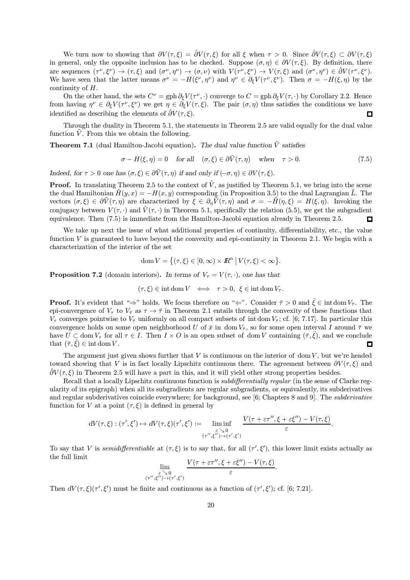We turn now to showing that  $\partial V(\tau,\xi) = \partial V(\tau,\xi)$  for all  $\xi$  when  $\tau > 0$ . Since  $\partial V(\tau,\xi) \subset \partial V(\tau,\xi)$ in general, only the opposite inclusion has to be checked. Suppose  $(\sigma, \eta) \in \partial V(\tau, \xi)$ . By definition, there are sequences  $(\tau^{\nu}, \xi^{\nu}) \to (\tau, \xi)$  and  $(\sigma^{\nu}, \eta^{\nu}) \to (\sigma, \nu)$  with  $V(\tau^{\nu}, \xi^{\nu}) \to V(\tau, \xi)$  and  $(\sigma^{\nu}, \eta^{\nu}) \in \partial V(\tau^{\nu}, \xi^{\nu})$ . We have seen that the latter means  $\sigma^{\nu} = -H(\xi^{\nu}, \eta^{\nu})$  and  $\eta^{\nu} \in \partial_{\xi}V(\tau^{\nu}, \xi^{\nu})$ . Then  $\sigma = -H(\xi, \eta)$  by the continuity of H.

On the other hand, the sets  $C^{\nu} = gph \partial_{\xi} V(\tau^{\nu},\cdot)$  converge to  $C = gph \partial_{\xi} V(\tau,\cdot)$  by Corollary 2.2. Hence from having  $\eta^{\nu} \in \partial_{\xi} V(\tau^{\nu}, \xi^{\nu})$  we get  $\eta \in \partial_{\xi} V(\tau, \xi)$ . The pair  $(\sigma, \eta)$  thus satisfies the conditions we have identified as describing the elements of  $\partial V(\tau, \xi)$ .  $\Box$ 

Through the duality in Theorem 5.1, the statements in Theorem 2.5 are valid equally for the dual value function  $\tilde{V}$ . From this we obtain the following.

**Theorem 7.1** (dual Hamilton-Jacobi equation). The dual value function  $\tilde{V}$  satisfies

$$
\sigma - H(\xi, \eta) = 0 \quad \text{for all} \quad (\sigma, \xi) \in \partial \tilde{V}(\tau, \eta) \quad \text{when} \quad \tau > 0. \tag{7.5}
$$

Indeed, for  $\tau > 0$  one has  $(\sigma, \xi) \in \partial \tilde{V}(\tau, \eta)$  if and only if  $(-\sigma, \eta) \in \partial V(\tau, \xi)$ .

**Proof.** In translating Theorem 2.5 to the context of  $\tilde{V}$ , as justified by Theorem 5.1, we bring into the scene the dual Hamiltonian  $\tilde{H}(y, x) = -H(x, y)$  corresponding (in Proposition 3.5) to the dual Lagrangian  $\tilde{L}$ . The vectors  $(\sigma, \xi) \in \partial \tilde{V}(\tau, \eta)$  are characterized by  $\xi \in \partial_n \tilde{V}(\tau, \eta)$  and  $\sigma = -\tilde{H}(\eta, \xi) = H(\xi, \eta)$ . Invoking the conjugacy between  $V(\tau, \cdot)$  and  $\tilde{V}(\tau, \cdot)$  in Theorem 5.1, specifically the relation (5.5), we get the subgradient equivalence. Then (7.5) is immediate from the Hamilton-Jacobi equation already in Theorem 2.5.  $\Box$ 

We take up next the issue of what additional properties of continuity, differentiability, etc., the value function  $V$  is guaranteed to have beyond the convexity and epi-continuity in Theorem 2.1. We begin with a characterization of the interior of the set

$$
\operatorname{dom} V = \big\{ (\tau, \xi) \in [0, \infty) \times I\!\!R^n \,\big|\, V(\tau, \xi) < \infty \big\}.
$$

**Proposition 7.2** (domain interiors). In terms of  $V_\tau = V(\tau, \cdot)$ , one has that

$$
(\tau,\xi) \in \text{int dom}\,V \iff \tau > 0, \ \xi \in \text{int dom}\,V_\tau.
$$

**Proof.** It's evident that " $\Rightarrow$ " holds. We focus therefore on " $\Leftarrow$ ". Consider  $\bar{\tau} > 0$  and  $\bar{\xi} \in \text{int dom } V_{\bar{\tau}}$ . The epi-convergence of  $V_{\tau}$  to  $V_{\bar{\tau}}$  as  $\tau \to \bar{\tau}$  in Theorem 2.1 entails through the convexity of these functions that  $V_{\tau}$  converges pointwise to  $V_{\bar{\tau}}$  uniformly on all compact subsets of intdom  $V_{\bar{\tau}}$ ; cf. [6; 7.17]. In particular this convergence holds on some open neighborhood U of  $\bar{x}$  in dom  $V_{\bar{\tau}}$ , so for some open interval I around  $\bar{\tau}$  we have  $U \subset \text{dom } V_\tau$  for all  $\tau \in I$ . Then  $I \times O$  is an open subset of dom V containing  $(\bar{\tau}, \bar{\xi})$ , and we conclude that  $(\bar{\tau}, \bar{\xi}) \in \text{int dom } V$ .  $\Box$ 

The argument just given shows further that  $V$  is continuous on the interior of dom  $V$ , but we're headed toward showing that V is in fact locally Lipschitz continuous there. The agreement between  $\partial V(\tau,\xi)$  and  $\partial V(\tau, \xi)$  in Theorem 2.5 will have a part in this, and it will yield other strong properties besides.

Recall that a locally Lipschitz continuous function is *subdifferentially regular* (in the sense of Clarke regularity of its epigraph) when all its subgradients are regular subgradients, or equivalently, its subderivatives and regular subderivatives coincide everywhere; for background, see [6; Chapters 8 and 9]. The subderivative function for V at a point  $(\tau, \xi)$  is defined in general by

$$
dV(\tau,\xi): (\tau',\xi') \mapsto dV(\tau,\xi)(\tau',\xi') := \liminf_{\substack{\varepsilon \searrow 0 \\ (\tau'',\xi'') \to (\tau',\xi')} } \frac{V(\tau + \varepsilon \tau'',\xi + \varepsilon \xi'') - V(\tau,\xi)}{\varepsilon}.
$$

To say that V is *semidifferentiable* at  $(\tau,\xi)$  is to say that, for all  $(\tau',\xi')$ , this lower limit exists actually as the full limit

$$
\lim_{\substack{\varepsilon \to 0 \\ (\tau'',\xi'') \to (\tau',\xi')}} \frac{V(\tau + \varepsilon \tau'',\xi + \varepsilon \xi'') - V(\tau,\xi)}{\varepsilon}.
$$

Then  $dV(\tau,\xi)(\tau',\xi')$  must be finite and continuous as a function of  $(\tau',\xi')$ ; cf. [6; 7.21].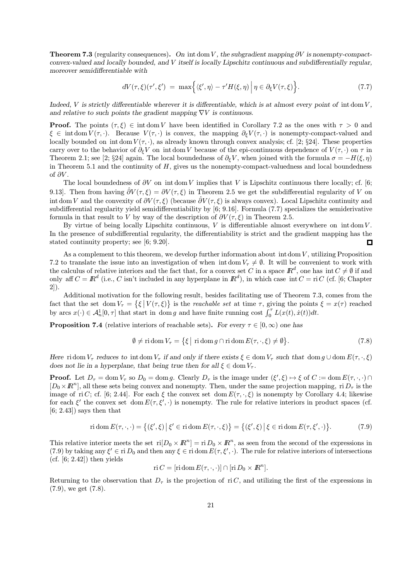**Theorem 7.3** (regularity consequences). On intdom V, the subgradient mapping  $\partial V$  is nonempty-compactconvex-valued and locally bounded, and V itself is locally Lipschitz continuous and subdifferentially regular, moreover semidifferentiable with

$$
dV(\tau,\xi)(\tau',\xi') = \max\Big\{\langle\xi',\eta\rangle - \tau'H(\xi,\eta)\Big|\,\eta\in\partial_{\xi}V(\tau,\xi)\Big\}.\tag{7.7}
$$

Indeed,  $V$  is strictly differentiable wherever it is differentiable, which is at almost every point of intdom  $V$ . and relative to such points the gradient mapping  $\nabla V$  is continuous.

**Proof.** The points  $(\tau, \xi) \in \text{int dom } V$  have been identified in Corollary 7.2 as the ones with  $\tau > 0$  and  $\xi \in \text{int dom } V(\tau, \cdot)$ . Because  $V(\tau, \cdot)$  is convex, the mapping  $\partial_{\xi} V(\tau, \cdot)$  is nonempty-compact-valued and locally bounded on intdom  $V(\tau, \cdot)$ , as already known through convex analysis; cf. [2; §24]. These properties carry over to the behavior of  $\partial_{\xi}V$  on intdom V because of the epi-continuous dependence of  $V(\tau, \cdot)$  on  $\tau$  in Theorem 2.1; see [2; §24] again. The local boundedness of  $\partial_{\xi}V$ , when joined with the formula  $\sigma = -H(\xi, \eta)$ in Theorem 5.1 and the continuity of  $H$ , gives us the nonempty-compact-valuedness and local boundedness of  $\partial V$ .

The local boundedness of  $\partial V$  on intdom V implies that V is Lipschitz continuous there locally; cf. [6; 9.13]. Then from having  $\hat{\partial}V(\tau,\xi) = \partial V(\tau,\xi)$  in Theorem 2.5 we get the subdifferential regularity of V on int dom V and the convexity of  $\partial V(\tau,\xi)$  (because  $\partial V(\tau,\xi)$ ) is always convex). Local Lipschitz continuity and subdifferential regularity yield semidifferentiability by [6; 9.16]. Formula (7.7) specializes the semiderivative formula in that result to V by way of the description of  $\partial V(\tau, \xi)$  in Theorem 2.5.

By virtue of being locally Lipschitz continuous,  $V$  is differentiable almost everywhere on intdom  $V$ . In the presence of subdifferential regularity, the differentiability is strict and the gradient mapping has the stated continuity property; see [6; 9.20]. 口

As a complement to this theorem, we develop further information about intdom  $V$ , utilizing Proposition 7.2 to translate the issue into an investigation of when intdom  $V_{\tau} \neq \emptyset$ . It will be convenient to work with the calculus of relative interiors and the fact that, for a convex set C in a space  $\mathbb{R}^d$ , one has int  $C \neq \emptyset$  if and only aff  $C = \mathbb{R}^d$  (i.e., C isn't included in any hyperplane in  $\mathbb{R}^d$ ), in which case int  $C = \text{ri } C$  (cf. [6; Chapter 2]).

Additional motivation for the following result, besides facilitating use of Theorem 7.3, comes from the fact that the set dom  $V_{\tau} = \{\xi \mid V(\tau,\xi)\}$  is the *reachable set* at time  $\tau$ , giving the points  $\xi = x(\tau)$  reached by arcs  $x(\cdot) \in \mathcal{A}_n^1[0, \tau]$  that start in dom g and have finite running cost  $\int_0^{\tau} L(x(t), \dot{x}(t)) dt$ .

**Proposition 7.4** (relative interiors of reachable sets). For every  $\tau \in [0, \infty)$  one has

$$
\emptyset \neq \text{ri dom } V_{\tau} = \{ \xi \mid \text{ri dom } g \cap \text{ri dom } E(\tau, \cdot, \xi) \neq \emptyset \}. \tag{7.8}
$$

Here ridom  $V_\tau$  reduces to intdom  $V_\tau$  if and only if there exists  $\xi \in \text{dom } V_\tau$  such that dom  $g \cup \text{dom } E(\tau, \cdot, \xi)$ does not lie in a hyperplane, that being true then for all  $\xi \in \text{dom } V_\tau$ .

**Proof.** Let  $D_{\tau} = \text{dom } V_{\tau}$  so  $D_0 = \text{dom } g$ . Clearly  $D_{\tau}$  is the image under  $(\xi', \xi) \mapsto \xi$  of  $C := \text{dom } E(\tau, \cdot, \cdot) \cap$  $[D_0\times\mathbb{R}^n]$ , all these sets being convex and nonempty. Then, under the same projection mapping, ri  $D_\tau$  is the image of ri C; cf. [6; 2.44]. For each  $\xi$  the convex set dom  $E(\tau, \cdot, \xi)$  is nonempty by Corollary 4.4; likewise for each  $\xi'$  the convex set dom  $E(\tau, \xi', \cdot)$  is nonempty. The rule for relative interiors in product spaces (cf.  $[6; 2.43]$  says then that

$$
\operatorname{ri\,dom} E(\tau, \cdot, \cdot) = \left\{ (\xi', \xi) \, \big| \, \xi' \in \operatorname{ri\,dom} E(\tau, \cdot, \xi) \right\} = \left\{ (\xi', \xi) \, \big| \, \xi \in \operatorname{ri\,dom} E(\tau, \xi', \cdot) \right\}.
$$
\n(7.9)

This relative interior meets the set  $\text{ri}[D_0 \times \mathbb{R}^n] = \text{ri } D_0 \times \mathbb{R}^n$ , as seen from the second of the expressions in (7.9) by taking any  $\xi' \in \text{ri } D_0$  and then any  $\xi \in \text{ri } \text{dom } E(\tau, \xi', \cdot)$ . The rule for relative interiors of intersections  $(cf. [6; 2.42])$  then yields

$$
\text{ri } C = [\text{ri dom } E(\tau, \cdot, \cdot)] \cap [\text{ri } D_0 \times I\!\!R^n].
$$

Returning to the observation that  $D<sub>\tau</sub>$  is the projection of ri C, and utilizing the first of the expressions in (7.9), we get (7.8).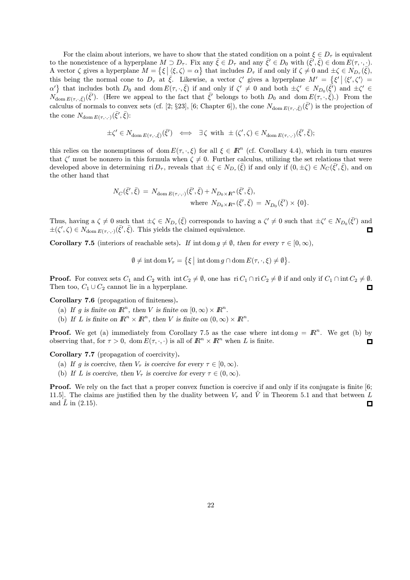For the claim about interiors, we have to show that the stated condition on a point  $\xi \in D_{\tau}$  is equivalent to the nonexistence of a hyperplane  $M \supset D_{\tau}$ . Fix any  $\bar{\xi} \in D_{\tau}$  and any  $\bar{\xi}' \in D_0$  with  $(\bar{\xi}', \bar{\xi}) \in \text{dom } E(\tau, \cdot, \cdot)$ . A vector  $\zeta$  gives a hyperplane  $M = \{ \xi \mid \langle \xi, \zeta \rangle = \alpha \}$  that includes  $D_{\tau}$  if and only if  $\zeta \neq 0$  and  $\pm \zeta \in N_{D_{\tau}}(\overline{\xi}),$ this being the normal cone to  $D_{\tau}$  at  $\bar{\xi}$ . Likewise, a vector  $\zeta'$  gives a hyperplane  $M' = \{\xi' | \langle \xi', \zeta' \rangle =$  $\{\alpha\}\}\$  that includes both  $D_0$  and dom  $E(\tau, \cdot, \bar{\xi})$  if and only if  $\zeta' \neq 0$  and both  $\pm \zeta' \in N_{D_0}(\bar{\xi'})$  and  $\pm \zeta' \in \zeta$  $N_{\text{dom }E(\tau,\cdot,\bar{\xi})}(\bar{\xi}')$ . (Here we appeal to the fact that  $\bar{\xi}'$  belongs to both  $D_0$  and dom  $E(\tau,\cdot,\bar{\xi})$ .) From the calculus of normals to convex sets (cf. [2; §23], [6; Chapter 6]), the cone  $N_{\text{dom }E(\tau,\cdot,\bar{\xi})}(\bar{\xi}')$  is the projection of the cone  $N_{\text{dom } E(\tau,\cdot,\cdot)}(\bar{\xi}',\bar{\xi})$ :

$$
\pm \zeta' \in N_{\text{dom } E(\tau, \cdot, \bar{\xi})}(\bar{\xi}') \iff \exists \zeta \text{ with } \pm (\zeta', \zeta) \in N_{\text{dom } E(\tau, \cdot, \cdot)}(\bar{\xi}', \bar{\xi});
$$

this relies on the nonemptiness of dom  $E(\tau, \cdot, \xi)$  for all  $\xi \in \mathbb{R}^n$  (cf. Corollary 4.4), which in turn ensures that  $\zeta'$  must be nonzero in this formula when  $\zeta \neq 0$ . Further calculus, utilizing the set relations that were developed above in determining ri  $D_{\tau}$ , reveals that  $\pm \zeta \in N_{D_{\tau}}(\bar{\xi})$  if and only if  $(0, \pm \zeta) \in N_C(\bar{\xi}', \bar{\xi})$ , and on the other hand that

$$
N_C(\bar{\xi}', \bar{\xi}) = N_{\text{dom } E(\tau, \cdot, \cdot)}(\bar{\xi}', \bar{\xi}) + N_{D_0 \times \mathbf{R}^n}(\bar{\xi}', \bar{\xi}),
$$
  
where  $N_{D_0 \times \mathbf{R}^n}(\bar{\xi}', \bar{\xi}) = N_{D_0}(\bar{\xi}') \times \{0\}.$ 

Thus, having a  $\zeta \neq 0$  such that  $\pm \zeta \in N_{D_{\tau}}(\bar{\zeta})$  corresponds to having a  $\zeta' \neq 0$  such that  $\pm \zeta' \in N_{D_0}(\bar{\zeta}')$  and  $\pm(\zeta',\zeta) \in N_{\text{dom } E(\tau,\cdot,\cdot)}(\bar{\xi}',\bar{\xi})$ . This yields the claimed equivalence.  $\Box$ 

**Corollary 7.5** (interiors of reachable sets). If intdom  $g \neq \emptyset$ , then for every  $\tau \in [0, \infty)$ ,

$$
\emptyset\neq \text{int}\,\text{dom}\,V_\tau=\big\{\xi\,\big|\,\,\text{int}\,\text{dom}\,g\cap\text{dom}\,E(\tau,\cdot,\xi)\neq\emptyset\big\}.
$$

**Proof.** For convex sets  $C_1$  and  $C_2$  with int $C_2 \neq \emptyset$ , one has ri  $C_1 \cap$  ri  $C_2 \neq \emptyset$  if and only if  $C_1 \cap$  int $C_2 \neq \emptyset$ . Then too,  $C_1 \cup C_2$  cannot lie in a hyperplane. П

Corollary 7.6 (propagation of finiteness).

- (a) If g is finite on  $\mathbb{R}^n$ , then V is finite on  $[0, \infty) \times \mathbb{R}^n$ .
- (b) If L is finite on  $\mathbb{R}^n \times \mathbb{R}^n$ , then V is finite on  $(0, \infty) \times \mathbb{R}^n$ .

**Proof.** We get (a) immediately from Corollary 7.5 as the case where intdom  $g = \mathbb{R}^n$ . We get (b) by observing that, for  $\tau > 0$ , dom  $E(\tau, \cdot, \cdot)$  is all of  $\mathbb{R}^n \times \mathbb{R}^n$  when L is finite.  $\Box$ 

Corollary 7.7 (propagation of coercivity).

- (a) If g is coercive, then  $V_{\tau}$  is coercive for every  $\tau \in [0,\infty)$ .
- (b) If L is coercive, then  $V_\tau$  is coercive for every  $\tau \in (0,\infty)$ .

**Proof.** We rely on the fact that a proper convex function is coercive if and only if its conjugate is finite [6; 11.5]. The claims are justified then by the duality between  $V_{\tau}$  and  $\tilde{V}$  in Theorem 5.1 and that between L and  $\tilde{L}$  in (2.15). 0